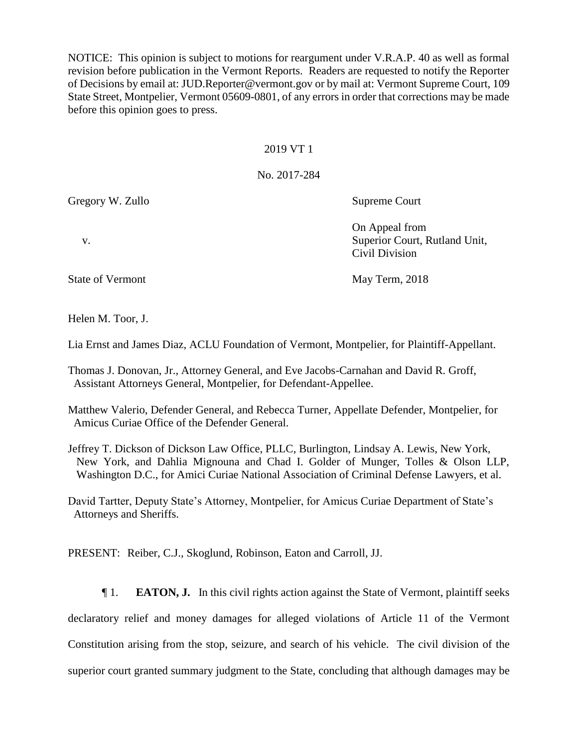NOTICE: This opinion is subject to motions for reargument under V.R.A.P. 40 as well as formal revision before publication in the Vermont Reports. Readers are requested to notify the Reporter of Decisions by email at: JUD.Reporter@vermont.gov or by mail at: Vermont Supreme Court, 109 State Street, Montpelier, Vermont 05609-0801, of any errors in order that corrections may be made before this opinion goes to press.

### 2019 VT 1

# No. 2017-284

Gregory W. Zullo Supreme Court

Helen M. Toor, J.

Lia Ernst and James Diaz, ACLU Foundation of Vermont, Montpelier, for Plaintiff-Appellant.

Thomas J. Donovan, Jr., Attorney General, and Eve Jacobs-Carnahan and David R. Groff, Assistant Attorneys General, Montpelier, for Defendant-Appellee.

Matthew Valerio, Defender General, and Rebecca Turner, Appellate Defender, Montpelier, for Amicus Curiae Office of the Defender General.

Jeffrey T. Dickson of Dickson Law Office, PLLC, Burlington, Lindsay A. Lewis, New York, New York, and Dahlia Mignouna and Chad I. Golder of Munger, Tolles & Olson LLP, Washington D.C., for Amici Curiae National Association of Criminal Defense Lawyers, et al.

David Tartter, Deputy State's Attorney, Montpelier, for Amicus Curiae Department of State's Attorneys and Sheriffs.

PRESENT: Reiber, C.J., Skoglund, Robinson, Eaton and Carroll, JJ.

¶ 1. **EATON, J.** In this civil rights action against the State of Vermont, plaintiff seeks declaratory relief and money damages for alleged violations of Article 11 of the Vermont Constitution arising from the stop, seizure, and search of his vehicle. The civil division of the superior court granted summary judgment to the State, concluding that although damages may be

On Appeal from v. Superior Court, Rutland Unit, Civil Division

State of Vermont May Term, 2018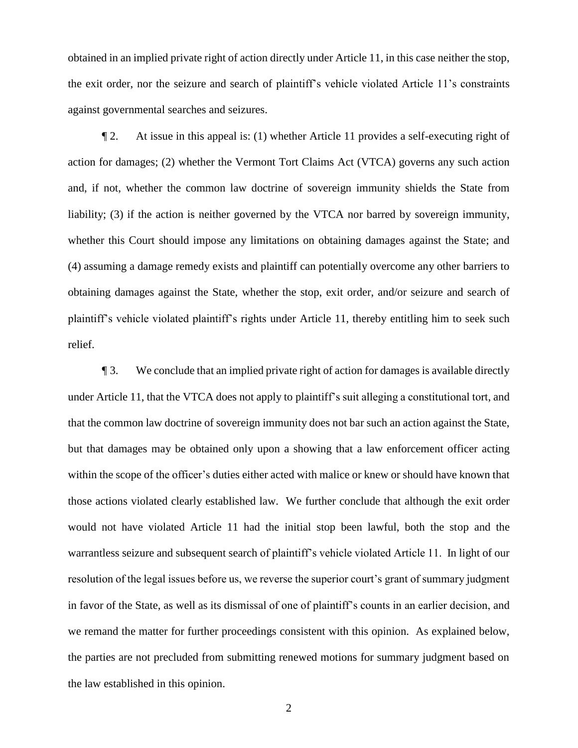obtained in an implied private right of action directly under Article 11, in this case neither the stop, the exit order, nor the seizure and search of plaintiff's vehicle violated Article 11's constraints against governmental searches and seizures.

¶ 2. At issue in this appeal is: (1) whether Article 11 provides a self-executing right of action for damages; (2) whether the Vermont Tort Claims Act (VTCA) governs any such action and, if not, whether the common law doctrine of sovereign immunity shields the State from liability; (3) if the action is neither governed by the VTCA nor barred by sovereign immunity, whether this Court should impose any limitations on obtaining damages against the State; and (4) assuming a damage remedy exists and plaintiff can potentially overcome any other barriers to obtaining damages against the State, whether the stop, exit order, and/or seizure and search of plaintiff's vehicle violated plaintiff's rights under Article 11, thereby entitling him to seek such relief.

¶ 3. We conclude that an implied private right of action for damages is available directly under Article 11, that the VTCA does not apply to plaintiff's suit alleging a constitutional tort, and that the common law doctrine of sovereign immunity does not bar such an action against the State, but that damages may be obtained only upon a showing that a law enforcement officer acting within the scope of the officer's duties either acted with malice or knew or should have known that those actions violated clearly established law. We further conclude that although the exit order would not have violated Article 11 had the initial stop been lawful, both the stop and the warrantless seizure and subsequent search of plaintiff's vehicle violated Article 11. In light of our resolution of the legal issues before us, we reverse the superior court's grant of summary judgment in favor of the State, as well as its dismissal of one of plaintiff's counts in an earlier decision, and we remand the matter for further proceedings consistent with this opinion. As explained below, the parties are not precluded from submitting renewed motions for summary judgment based on the law established in this opinion.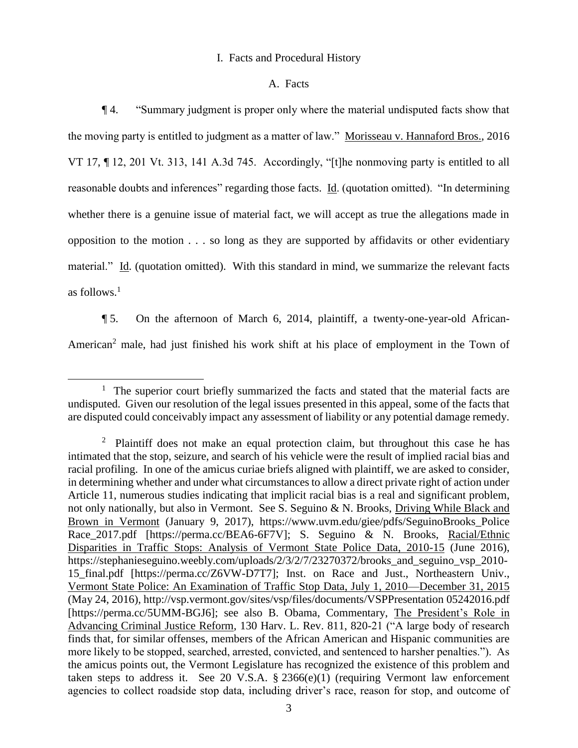# I. Facts and Procedural History

### A. Facts

¶ 4. "Summary judgment is proper only where the material undisputed facts show that the moving party is entitled to judgment as a matter of law." Morisseau v. Hannaford Bros., 2016 VT 17, ¶ 12, 201 Vt. 313, 141 A.3d 745. Accordingly, "[t]he nonmoving party is entitled to all reasonable doubts and inferences" regarding those facts. Id. (quotation omitted). "In determining whether there is a genuine issue of material fact, we will accept as true the allegations made in opposition to the motion . . . so long as they are supported by affidavits or other evidentiary material." Id. (quotation omitted). With this standard in mind, we summarize the relevant facts as follows. $<sup>1</sup>$ </sup>

¶ 5. On the afternoon of March 6, 2014, plaintiff, a twenty-one-year-old African-American<sup>2</sup> male, had just finished his work shift at his place of employment in the Town of

<sup>&</sup>lt;sup>1</sup> The superior court briefly summarized the facts and stated that the material facts are undisputed. Given our resolution of the legal issues presented in this appeal, some of the facts that are disputed could conceivably impact any assessment of liability or any potential damage remedy.

<sup>&</sup>lt;sup>2</sup> Plaintiff does not make an equal protection claim, but throughout this case he has intimated that the stop, seizure, and search of his vehicle were the result of implied racial bias and racial profiling. In one of the amicus curiae briefs aligned with plaintiff, we are asked to consider, in determining whether and under what circumstances to allow a direct private right of action under Article 11, numerous studies indicating that implicit racial bias is a real and significant problem, not only nationally, but also in Vermont. See S. Seguino & N. Brooks, Driving While Black and Brown in Vermont (January 9, 2017), https://www.uvm.edu/giee/pdfs/SeguinoBrooks\_Police Race\_2017.pdf [https://perma.cc/BEA6-6F7V]; S. Seguino & N. Brooks, Racial/Ethnic Disparities in Traffic Stops: Analysis of Vermont State Police Data, 2010-15 (June 2016), https://stephanieseguino.weebly.com/uploads/2/3/2/7/23270372/brooks\_and\_seguino\_vsp\_2010- 15 final.pdf [https://perma.cc/Z6VW-D7T7]; Inst. on Race and Just., Northeastern Univ., Vermont State Police: An Examination of Traffic Stop Data, July 1, 2010—December 31, 2015 (May 24, 2016), http://vsp.vermont.gov/sites/vsp/files/documents/VSPPresentation 05242016.pdf [https://perma.cc/5UMM-BGJ6]; see also B. Obama, Commentary, The President's Role in Advancing Criminal Justice Reform, 130 Harv. L. Rev. 811, 820-21 ("A large body of research finds that, for similar offenses, members of the African American and Hispanic communities are more likely to be stopped, searched, arrested, convicted, and sentenced to harsher penalties."). As the amicus points out, the Vermont Legislature has recognized the existence of this problem and taken steps to address it. See 20 V.S.A. § 2366(e)(1) (requiring Vermont law enforcement agencies to collect roadside stop data, including driver's race, reason for stop, and outcome of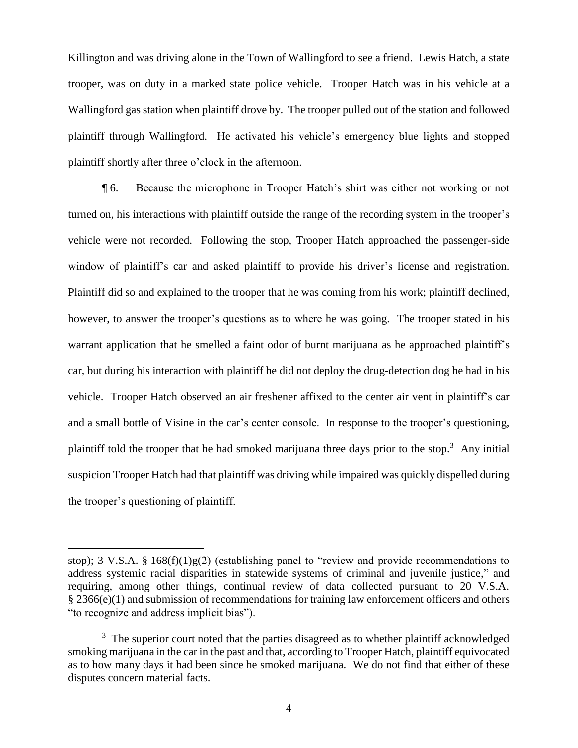Killington and was driving alone in the Town of Wallingford to see a friend. Lewis Hatch, a state trooper, was on duty in a marked state police vehicle. Trooper Hatch was in his vehicle at a Wallingford gas station when plaintiff drove by. The trooper pulled out of the station and followed plaintiff through Wallingford. He activated his vehicle's emergency blue lights and stopped plaintiff shortly after three o'clock in the afternoon.

¶ 6. Because the microphone in Trooper Hatch's shirt was either not working or not turned on, his interactions with plaintiff outside the range of the recording system in the trooper's vehicle were not recorded. Following the stop, Trooper Hatch approached the passenger-side window of plaintiff's car and asked plaintiff to provide his driver's license and registration. Plaintiff did so and explained to the trooper that he was coming from his work; plaintiff declined, however, to answer the trooper's questions as to where he was going. The trooper stated in his warrant application that he smelled a faint odor of burnt marijuana as he approached plaintiff's car, but during his interaction with plaintiff he did not deploy the drug-detection dog he had in his vehicle. Trooper Hatch observed an air freshener affixed to the center air vent in plaintiff's car and a small bottle of Visine in the car's center console. In response to the trooper's questioning, plaintiff told the trooper that he had smoked marijuana three days prior to the stop.<sup>3</sup> Any initial suspicion Trooper Hatch had that plaintiff was driving while impaired was quickly dispelled during the trooper's questioning of plaintiff.

stop); 3 V.S.A. § 168(f)(1)g(2) (establishing panel to "review and provide recommendations to address systemic racial disparities in statewide systems of criminal and juvenile justice," and requiring, among other things, continual review of data collected pursuant to 20 V.S.A. § 2366(e)(1) and submission of recommendations for training law enforcement officers and others "to recognize and address implicit bias").

<sup>&</sup>lt;sup>3</sup> The superior court noted that the parties disagreed as to whether plaintiff acknowledged smoking marijuana in the car in the past and that, according to Trooper Hatch, plaintiff equivocated as to how many days it had been since he smoked marijuana. We do not find that either of these disputes concern material facts.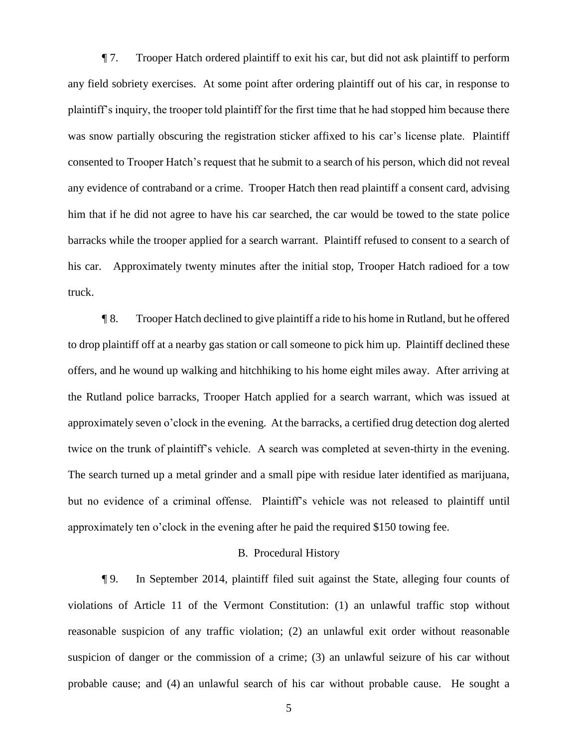¶ 7. Trooper Hatch ordered plaintiff to exit his car, but did not ask plaintiff to perform any field sobriety exercises. At some point after ordering plaintiff out of his car, in response to plaintiff's inquiry, the trooper told plaintiff for the first time that he had stopped him because there was snow partially obscuring the registration sticker affixed to his car's license plate. Plaintiff consented to Trooper Hatch's request that he submit to a search of his person, which did not reveal any evidence of contraband or a crime. Trooper Hatch then read plaintiff a consent card, advising him that if he did not agree to have his car searched, the car would be towed to the state police barracks while the trooper applied for a search warrant. Plaintiff refused to consent to a search of his car. Approximately twenty minutes after the initial stop, Trooper Hatch radioed for a tow truck.

¶ 8. Trooper Hatch declined to give plaintiff a ride to his home in Rutland, but he offered to drop plaintiff off at a nearby gas station or call someone to pick him up. Plaintiff declined these offers, and he wound up walking and hitchhiking to his home eight miles away. After arriving at the Rutland police barracks, Trooper Hatch applied for a search warrant, which was issued at approximately seven o'clock in the evening. At the barracks, a certified drug detection dog alerted twice on the trunk of plaintiff's vehicle. A search was completed at seven-thirty in the evening. The search turned up a metal grinder and a small pipe with residue later identified as marijuana, but no evidence of a criminal offense. Plaintiff's vehicle was not released to plaintiff until approximately ten o'clock in the evening after he paid the required \$150 towing fee.

# B. Procedural History

¶ 9. In September 2014, plaintiff filed suit against the State, alleging four counts of violations of Article 11 of the Vermont Constitution: (1) an unlawful traffic stop without reasonable suspicion of any traffic violation; (2) an unlawful exit order without reasonable suspicion of danger or the commission of a crime; (3) an unlawful seizure of his car without probable cause; and (4) an unlawful search of his car without probable cause. He sought a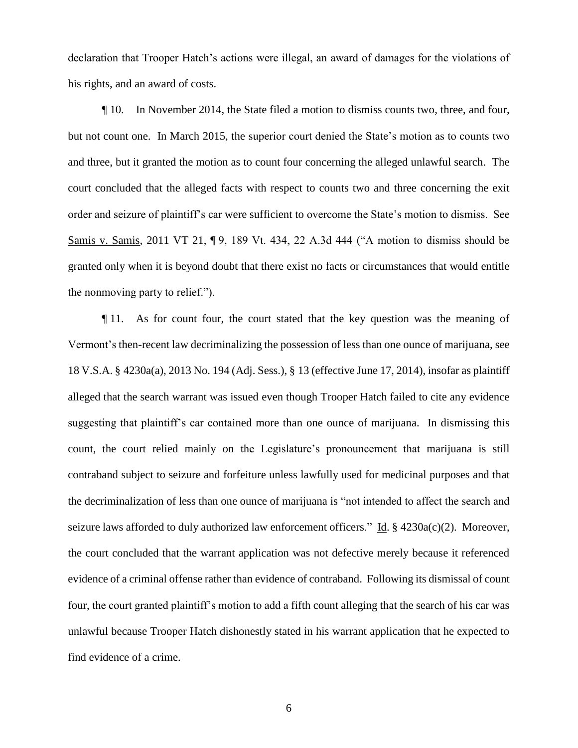declaration that Trooper Hatch's actions were illegal, an award of damages for the violations of his rights, and an award of costs.

¶ 10. In November 2014, the State filed a motion to dismiss counts two, three, and four, but not count one. In March 2015, the superior court denied the State's motion as to counts two and three, but it granted the motion as to count four concerning the alleged unlawful search. The court concluded that the alleged facts with respect to counts two and three concerning the exit order and seizure of plaintiff's car were sufficient to overcome the State's motion to dismiss. See Samis v. Samis, 2011 VT 21, ¶ 9, 189 Vt. 434, 22 A.3d 444 ("A motion to dismiss should be granted only when it is beyond doubt that there exist no facts or circumstances that would entitle the nonmoving party to relief.").

¶ 11. As for count four, the court stated that the key question was the meaning of Vermont's then-recent law decriminalizing the possession of less than one ounce of marijuana, see 18 V.S.A. § 4230a(a), 2013 No. 194 (Adj. Sess.), § 13 (effective June 17, 2014), insofar as plaintiff alleged that the search warrant was issued even though Trooper Hatch failed to cite any evidence suggesting that plaintiff's car contained more than one ounce of marijuana. In dismissing this count, the court relied mainly on the Legislature's pronouncement that marijuana is still contraband subject to seizure and forfeiture unless lawfully used for medicinal purposes and that the decriminalization of less than one ounce of marijuana is "not intended to affect the search and seizure laws afforded to duly authorized law enforcement officers." Id. § 4230a(c)(2). Moreover, the court concluded that the warrant application was not defective merely because it referenced evidence of a criminal offense rather than evidence of contraband. Following its dismissal of count four, the court granted plaintiff's motion to add a fifth count alleging that the search of his car was unlawful because Trooper Hatch dishonestly stated in his warrant application that he expected to find evidence of a crime.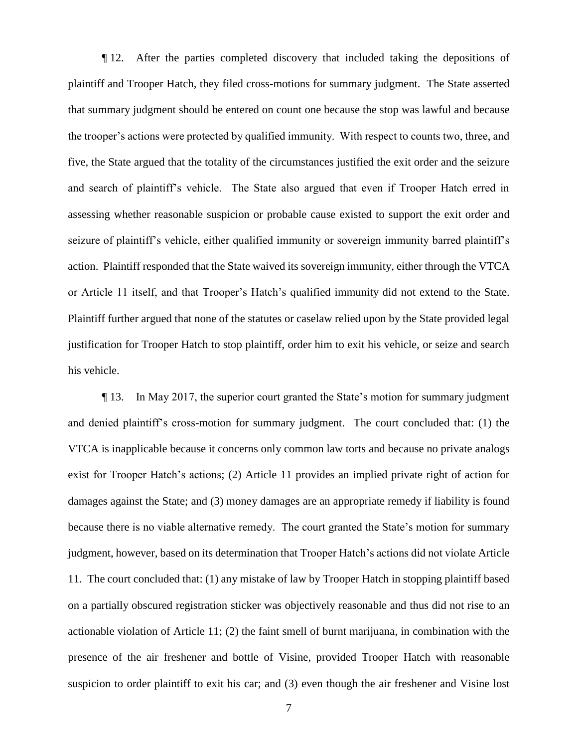¶ 12. After the parties completed discovery that included taking the depositions of plaintiff and Trooper Hatch, they filed cross-motions for summary judgment. The State asserted that summary judgment should be entered on count one because the stop was lawful and because the trooper's actions were protected by qualified immunity. With respect to counts two, three, and five, the State argued that the totality of the circumstances justified the exit order and the seizure and search of plaintiff's vehicle. The State also argued that even if Trooper Hatch erred in assessing whether reasonable suspicion or probable cause existed to support the exit order and seizure of plaintiff's vehicle, either qualified immunity or sovereign immunity barred plaintiff's action. Plaintiff responded that the State waived its sovereign immunity, either through the VTCA or Article 11 itself, and that Trooper's Hatch's qualified immunity did not extend to the State. Plaintiff further argued that none of the statutes or caselaw relied upon by the State provided legal justification for Trooper Hatch to stop plaintiff, order him to exit his vehicle, or seize and search his vehicle.

¶ 13. In May 2017, the superior court granted the State's motion for summary judgment and denied plaintiff's cross-motion for summary judgment. The court concluded that: (1) the VTCA is inapplicable because it concerns only common law torts and because no private analogs exist for Trooper Hatch's actions; (2) Article 11 provides an implied private right of action for damages against the State; and (3) money damages are an appropriate remedy if liability is found because there is no viable alternative remedy. The court granted the State's motion for summary judgment, however, based on its determination that Trooper Hatch's actions did not violate Article 11. The court concluded that: (1) any mistake of law by Trooper Hatch in stopping plaintiff based on a partially obscured registration sticker was objectively reasonable and thus did not rise to an actionable violation of Article 11; (2) the faint smell of burnt marijuana, in combination with the presence of the air freshener and bottle of Visine, provided Trooper Hatch with reasonable suspicion to order plaintiff to exit his car; and (3) even though the air freshener and Visine lost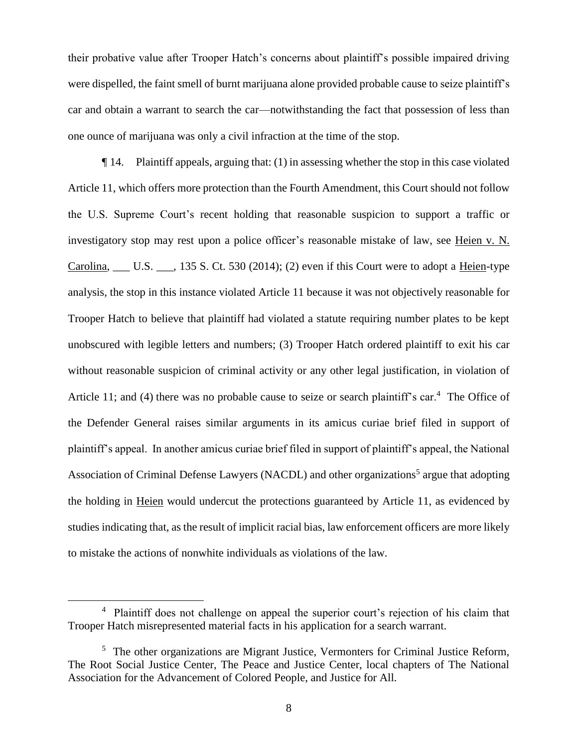their probative value after Trooper Hatch's concerns about plaintiff's possible impaired driving were dispelled, the faint smell of burnt marijuana alone provided probable cause to seize plaintiff's car and obtain a warrant to search the car—notwithstanding the fact that possession of less than one ounce of marijuana was only a civil infraction at the time of the stop.

¶ 14. Plaintiff appeals, arguing that: (1) in assessing whether the stop in this case violated Article 11, which offers more protection than the Fourth Amendment, this Court should not follow the U.S. Supreme Court's recent holding that reasonable suspicion to support a traffic or investigatory stop may rest upon a police officer's reasonable mistake of law, see Heien v. N. Carolina, \_\_\_ U.S. \_\_\_, 135 S. Ct. 530 (2014); (2) even if this Court were to adopt a Heien-type analysis, the stop in this instance violated Article 11 because it was not objectively reasonable for Trooper Hatch to believe that plaintiff had violated a statute requiring number plates to be kept unobscured with legible letters and numbers; (3) Trooper Hatch ordered plaintiff to exit his car without reasonable suspicion of criminal activity or any other legal justification, in violation of Article 11; and (4) there was no probable cause to seize or search plaintiff's car.<sup>4</sup> The Office of the Defender General raises similar arguments in its amicus curiae brief filed in support of plaintiff's appeal. In another amicus curiae brief filed in support of plaintiff's appeal, the National Association of Criminal Defense Lawyers (NACDL) and other organizations<sup>5</sup> argue that adopting the holding in Heien would undercut the protections guaranteed by Article 11, as evidenced by studies indicating that, as the result of implicit racial bias, law enforcement officers are more likely to mistake the actions of nonwhite individuals as violations of the law.

<sup>&</sup>lt;sup>4</sup> Plaintiff does not challenge on appeal the superior court's rejection of his claim that Trooper Hatch misrepresented material facts in his application for a search warrant.

<sup>&</sup>lt;sup>5</sup> The other organizations are Migrant Justice, Vermonters for Criminal Justice Reform, The Root Social Justice Center, The Peace and Justice Center, local chapters of The National Association for the Advancement of Colored People, and Justice for All.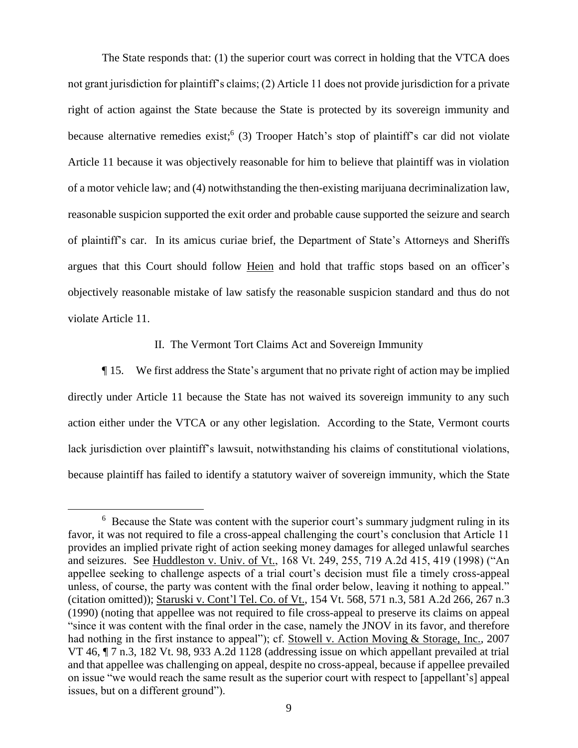The State responds that: (1) the superior court was correct in holding that the VTCA does not grant jurisdiction for plaintiff's claims; (2) Article 11 does not provide jurisdiction for a private right of action against the State because the State is protected by its sovereign immunity and because alternative remedies exist;<sup>6</sup> (3) Trooper Hatch's stop of plaintiff's car did not violate Article 11 because it was objectively reasonable for him to believe that plaintiff was in violation of a motor vehicle law; and (4) notwithstanding the then-existing marijuana decriminalization law, reasonable suspicion supported the exit order and probable cause supported the seizure and search of plaintiff's car. In its amicus curiae brief, the Department of State's Attorneys and Sheriffs argues that this Court should follow Heien and hold that traffic stops based on an officer's objectively reasonable mistake of law satisfy the reasonable suspicion standard and thus do not violate Article 11.

### II. The Vermont Tort Claims Act and Sovereign Immunity

¶ 15. We first address the State's argument that no private right of action may be implied directly under Article 11 because the State has not waived its sovereign immunity to any such action either under the VTCA or any other legislation. According to the State, Vermont courts lack jurisdiction over plaintiff's lawsuit, notwithstanding his claims of constitutional violations, because plaintiff has failed to identify a statutory waiver of sovereign immunity, which the State

<sup>&</sup>lt;sup>6</sup> Because the State was content with the superior court's summary judgment ruling in its favor, it was not required to file a cross-appeal challenging the court's conclusion that Article 11 provides an implied private right of action seeking money damages for alleged unlawful searches and seizures. See Huddleston v. Univ. of Vt., 168 Vt. 249, 255, 719 A.2d 415, 419 (1998) ("An appellee seeking to challenge aspects of a trial court's decision must file a timely cross-appeal unless, of course, the party was content with the final order below, leaving it nothing to appeal." (citation omitted)); Staruski v. Cont'l Tel. Co. of Vt., 154 Vt. 568, 571 n.3, 581 A.2d 266, 267 n.3 (1990) (noting that appellee was not required to file cross-appeal to preserve its claims on appeal "since it was content with the final order in the case, namely the JNOV in its favor, and therefore had nothing in the first instance to appeal"); cf. Stowell v. Action Moving & Storage, Inc., 2007 VT 46,  $\P$  7 n.3, 182 Vt. 98, 933 A.2d 1128 (addressing issue on which appellant prevailed at trial and that appellee was challenging on appeal, despite no cross-appeal, because if appellee prevailed on issue "we would reach the same result as the superior court with respect to [appellant's] appeal issues, but on a different ground").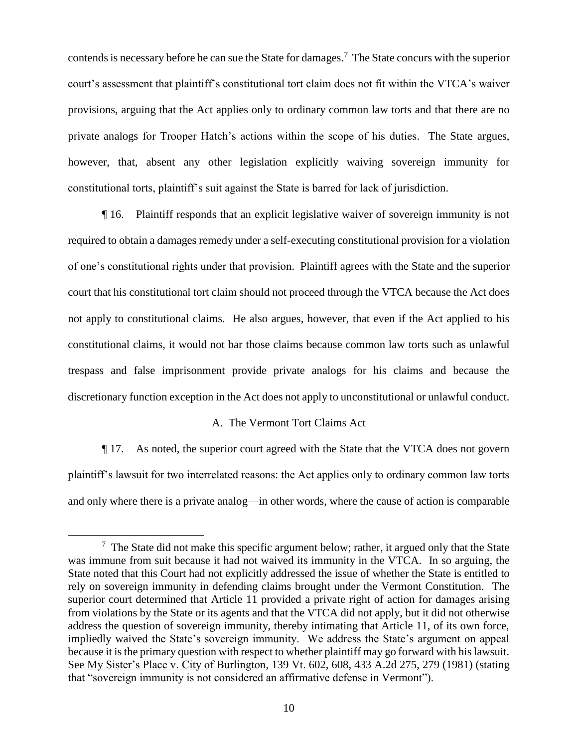contends is necessary before he can sue the State for damages.<sup>7</sup> The State concurs with the superior court's assessment that plaintiff's constitutional tort claim does not fit within the VTCA's waiver provisions, arguing that the Act applies only to ordinary common law torts and that there are no private analogs for Trooper Hatch's actions within the scope of his duties. The State argues, however, that, absent any other legislation explicitly waiving sovereign immunity for constitutional torts, plaintiff's suit against the State is barred for lack of jurisdiction.

¶ 16. Plaintiff responds that an explicit legislative waiver of sovereign immunity is not required to obtain a damages remedy under a self-executing constitutional provision for a violation of one's constitutional rights under that provision. Plaintiff agrees with the State and the superior court that his constitutional tort claim should not proceed through the VTCA because the Act does not apply to constitutional claims. He also argues, however, that even if the Act applied to his constitutional claims, it would not bar those claims because common law torts such as unlawful trespass and false imprisonment provide private analogs for his claims and because the discretionary function exception in the Act does not apply to unconstitutional or unlawful conduct.

# A. The Vermont Tort Claims Act

¶ 17. As noted, the superior court agreed with the State that the VTCA does not govern plaintiff's lawsuit for two interrelated reasons: the Act applies only to ordinary common law torts and only where there is a private analog—in other words, where the cause of action is comparable

 $7$  The State did not make this specific argument below; rather, it argued only that the State was immune from suit because it had not waived its immunity in the VTCA. In so arguing, the State noted that this Court had not explicitly addressed the issue of whether the State is entitled to rely on sovereign immunity in defending claims brought under the Vermont Constitution. The superior court determined that Article 11 provided a private right of action for damages arising from violations by the State or its agents and that the VTCA did not apply, but it did not otherwise address the question of sovereign immunity, thereby intimating that Article 11, of its own force, impliedly waived the State's sovereign immunity. We address the State's argument on appeal because it is the primary question with respect to whether plaintiff may go forward with his lawsuit. See My Sister's Place v. City of Burlington, 139 Vt. 602, 608, 433 A.2d 275, 279 (1981) (stating that "sovereign immunity is not considered an affirmative defense in Vermont").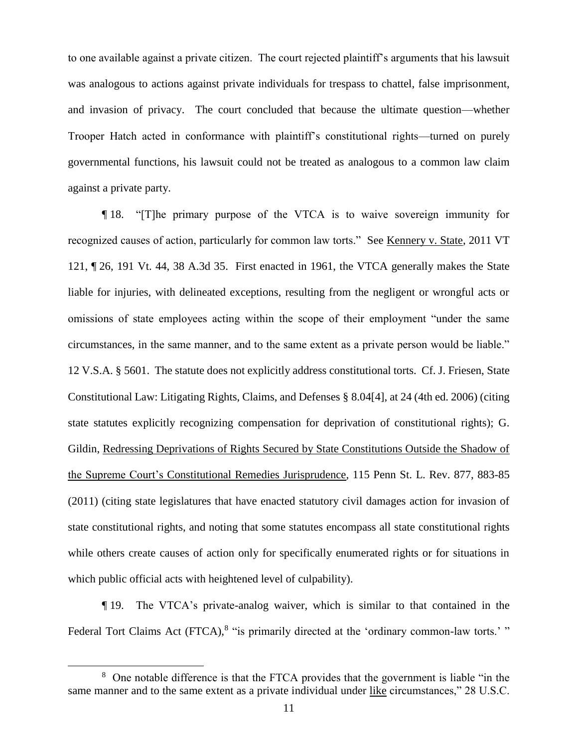to one available against a private citizen. The court rejected plaintiff's arguments that his lawsuit was analogous to actions against private individuals for trespass to chattel, false imprisonment, and invasion of privacy. The court concluded that because the ultimate question—whether Trooper Hatch acted in conformance with plaintiff's constitutional rights—turned on purely governmental functions, his lawsuit could not be treated as analogous to a common law claim against a private party.

¶ 18. "[T]he primary purpose of the VTCA is to waive sovereign immunity for recognized causes of action, particularly for common law torts." See Kennery v. State, 2011 VT 121, ¶ 26, 191 Vt. 44, 38 A.3d 35. First enacted in 1961, the VTCA generally makes the State liable for injuries, with delineated exceptions, resulting from the negligent or wrongful acts or omissions of state employees acting within the scope of their employment "under the same circumstances, in the same manner, and to the same extent as a private person would be liable." 12 V.S.A. § 5601. The statute does not explicitly address constitutional torts. Cf. J. Friesen, State Constitutional Law: Litigating Rights, Claims, and Defenses § 8.04[4], at 24 (4th ed. 2006) (citing state statutes explicitly recognizing compensation for deprivation of constitutional rights); G. Gildin, Redressing Deprivations of Rights Secured by State Constitutions Outside the Shadow of the Supreme Court's Constitutional Remedies Jurisprudence, 115 Penn St. L. Rev. 877, 883-85 (2011) (citing state legislatures that have enacted statutory civil damages action for invasion of state constitutional rights, and noting that some statutes encompass all state constitutional rights while others create causes of action only for specifically enumerated rights or for situations in which public official acts with heightened level of culpability).

¶ 19. The VTCA's private-analog waiver, which is similar to that contained in the Federal Tort Claims Act (FTCA),<sup>8</sup> "is primarily directed at the 'ordinary common-law torts.' "

<sup>&</sup>lt;sup>8</sup> One notable difference is that the FTCA provides that the government is liable "in the same manner and to the same extent as a private individual under like circumstances," 28 U.S.C.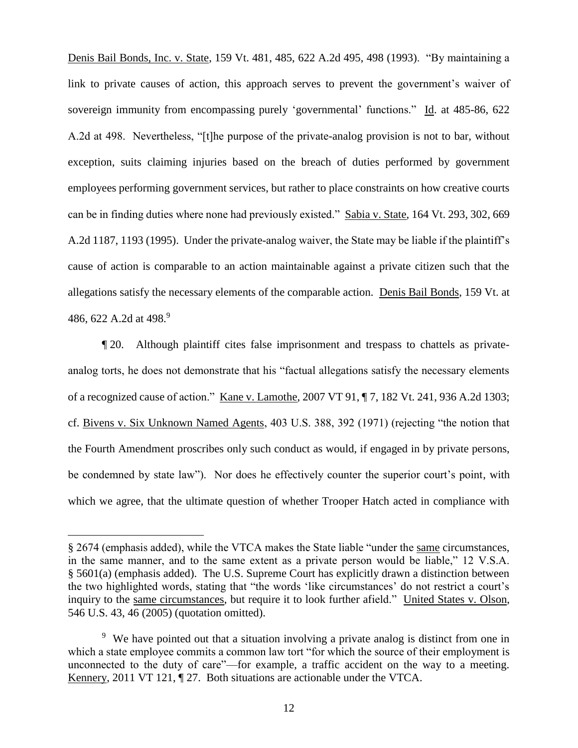Denis Bail Bonds, Inc. v. State, 159 Vt. 481, 485, 622 A.2d 495, 498 (1993). "By maintaining a link to private causes of action, this approach serves to prevent the government's waiver of sovereign immunity from encompassing purely 'governmental' functions." Id. at 485-86, 622 A.2d at 498. Nevertheless, "[t]he purpose of the private-analog provision is not to bar, without exception, suits claiming injuries based on the breach of duties performed by government employees performing government services, but rather to place constraints on how creative courts can be in finding duties where none had previously existed." Sabia v. State, 164 Vt. 293, 302, 669 A.2d 1187, 1193 (1995). Under the private-analog waiver, the State may be liable if the plaintiff's cause of action is comparable to an action maintainable against a private citizen such that the allegations satisfy the necessary elements of the comparable action. Denis Bail Bonds, 159 Vt. at 486, 622 A.2d at 498.<sup>9</sup>

¶ 20. Although plaintiff cites false imprisonment and trespass to chattels as privateanalog torts, he does not demonstrate that his "factual allegations satisfy the necessary elements of a recognized cause of action." Kane v. Lamothe, 2007 VT 91, ¶ 7, 182 Vt. 241, 936 A.2d 1303; cf. Bivens v. Six Unknown Named Agents, 403 U.S. 388, 392 (1971) (rejecting "the notion that the Fourth Amendment proscribes only such conduct as would, if engaged in by private persons, be condemned by state law"). Nor does he effectively counter the superior court's point, with which we agree, that the ultimate question of whether Trooper Hatch acted in compliance with

<sup>§</sup> 2674 (emphasis added), while the VTCA makes the State liable "under the same circumstances, in the same manner, and to the same extent as a private person would be liable," 12 V.S.A. § 5601(a) (emphasis added). The U.S. Supreme Court has explicitly drawn a distinction between the two highlighted words, stating that "the words 'like circumstances' do not restrict a court's inquiry to the same circumstances, but require it to look further afield." United States v. Olson, 546 U.S. 43, 46 (2005) (quotation omitted).

<sup>&</sup>lt;sup>9</sup> We have pointed out that a situation involving a private analog is distinct from one in which a state employee commits a common law tort "for which the source of their employment is unconnected to the duty of care"—for example, a traffic accident on the way to a meeting. Kennery, 2011 VT 121, ¶ 27. Both situations are actionable under the VTCA.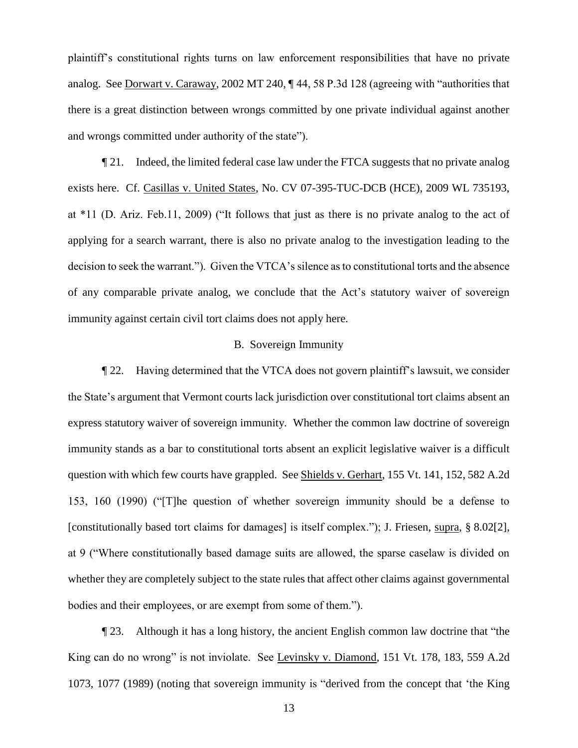plaintiff's constitutional rights turns on law enforcement responsibilities that have no private analog. See Dorwart v. Caraway, 2002 MT 240, ¶ 44, 58 P.3d 128 (agreeing with "authorities that there is a great distinction between wrongs committed by one private individual against another and wrongs committed under authority of the state").

¶ 21. Indeed, the limited federal case law under the FTCA suggests that no private analog exists here. Cf. Casillas v. United States, No. CV 07-395-TUC-DCB (HCE), 2009 WL 735193, at \*11 (D. Ariz. Feb.11, 2009) ("It follows that just as there is no private analog to the act of applying for a search warrant, there is also no private analog to the investigation leading to the decision to seek the warrant."). Given the VTCA's silence as to constitutional torts and the absence of any comparable private analog, we conclude that the Act's statutory waiver of sovereign immunity against certain civil tort claims does not apply here.

# B. Sovereign Immunity

¶ 22. Having determined that the VTCA does not govern plaintiff's lawsuit, we consider the State's argument that Vermont courts lack jurisdiction over constitutional tort claims absent an express statutory waiver of sovereign immunity. Whether the common law doctrine of sovereign immunity stands as a bar to constitutional torts absent an explicit legislative waiver is a difficult question with which few courts have grappled. See Shields v. Gerhart, 155 Vt. 141, 152, 582 A.2d 153, 160 (1990) ("[T]he question of whether sovereign immunity should be a defense to [constitutionally based tort claims for damages] is itself complex."); J. Friesen, supra, § 8.02[2], at 9 ("Where constitutionally based damage suits are allowed, the sparse caselaw is divided on whether they are completely subject to the state rules that affect other claims against governmental bodies and their employees, or are exempt from some of them.").

¶ 23. Although it has a long history, the ancient English common law doctrine that "the King can do no wrong" is not inviolate. See Levinsky v. Diamond, 151 Vt. 178, 183, 559 A.2d 1073, 1077 (1989) (noting that sovereign immunity is "derived from the concept that 'the King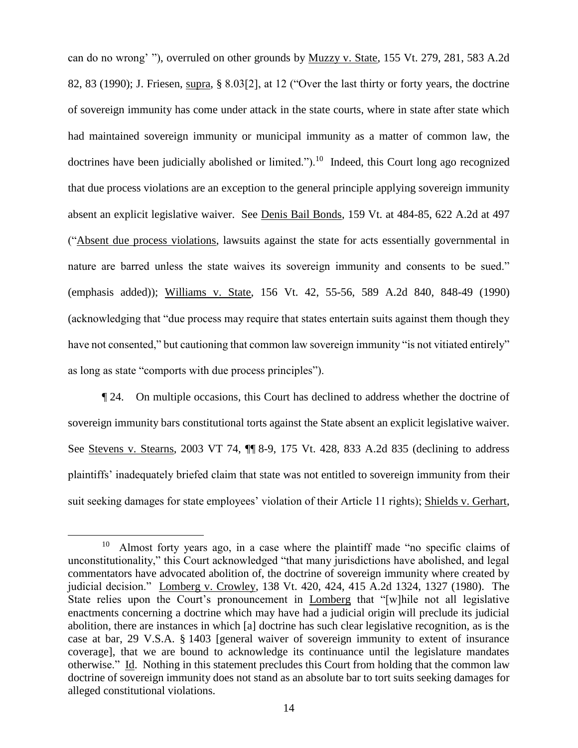can do no wrong' "), overruled on other grounds by Muzzy v. State, 155 Vt. 279, 281, 583 A.2d 82, 83 (1990); J. Friesen, supra, § 8.03[2], at 12 ("Over the last thirty or forty years, the doctrine of sovereign immunity has come under attack in the state courts, where in state after state which had maintained sovereign immunity or municipal immunity as a matter of common law, the doctrines have been judicially abolished or limited.").<sup>10</sup> Indeed, this Court long ago recognized that due process violations are an exception to the general principle applying sovereign immunity absent an explicit legislative waiver. See Denis Bail Bonds, 159 Vt. at 484-85, 622 A.2d at 497 ("Absent due process violations, lawsuits against the state for acts essentially governmental in nature are barred unless the state waives its sovereign immunity and consents to be sued." (emphasis added)); Williams v. State, 156 Vt. 42, 55-56, 589 A.2d 840, 848-49 (1990) (acknowledging that "due process may require that states entertain suits against them though they have not consented," but cautioning that common law sovereign immunity "is not vitiated entirely" as long as state "comports with due process principles").

¶ 24. On multiple occasions, this Court has declined to address whether the doctrine of sovereign immunity bars constitutional torts against the State absent an explicit legislative waiver. See Stevens v. Stearns, 2003 VT 74, ¶¶ 8-9, 175 Vt. 428, 833 A.2d 835 (declining to address plaintiffs' inadequately briefed claim that state was not entitled to sovereign immunity from their suit seeking damages for state employees' violation of their Article 11 rights); Shields v. Gerhart,

<sup>10</sup> Almost forty years ago, in a case where the plaintiff made "no specific claims of unconstitutionality," this Court acknowledged "that many jurisdictions have abolished, and legal commentators have advocated abolition of, the doctrine of sovereign immunity where created by judicial decision." Lomberg v. Crowley, 138 Vt. 420, 424, 415 A.2d 1324, 1327 (1980). The State relies upon the Court's pronouncement in Lomberg that "[w]hile not all legislative enactments concerning a doctrine which may have had a judicial origin will preclude its judicial abolition, there are instances in which [a] doctrine has such clear legislative recognition, as is the case at bar, 29 V.S.A. § 1403 [general waiver of sovereign immunity to extent of insurance coverage], that we are bound to acknowledge its continuance until the legislature mandates otherwise." Id. Nothing in this statement precludes this Court from holding that the common law doctrine of sovereign immunity does not stand as an absolute bar to tort suits seeking damages for alleged constitutional violations.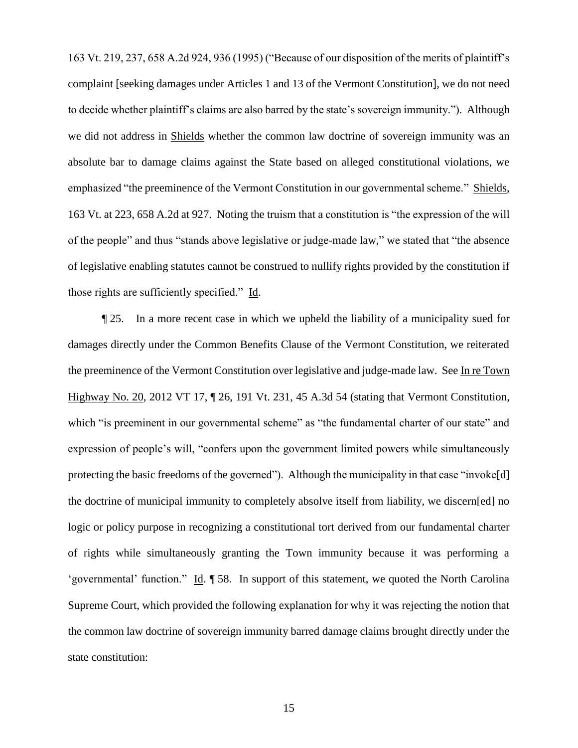163 Vt. 219, 237, 658 A.2d 924, 936 (1995) ("Because of our disposition of the merits of plaintiff's complaint [seeking damages under Articles 1 and 13 of the Vermont Constitution], we do not need to decide whether plaintiff's claims are also barred by the state's sovereign immunity."). Although we did not address in Shields whether the common law doctrine of sovereign immunity was an absolute bar to damage claims against the State based on alleged constitutional violations, we emphasized "the preeminence of the Vermont Constitution in our governmental scheme." Shields, 163 Vt. at 223, 658 A.2d at 927. Noting the truism that a constitution is "the expression of the will of the people" and thus "stands above legislative or judge-made law," we stated that "the absence of legislative enabling statutes cannot be construed to nullify rights provided by the constitution if those rights are sufficiently specified." Id.

¶ 25. In a more recent case in which we upheld the liability of a municipality sued for damages directly under the Common Benefits Clause of the Vermont Constitution, we reiterated the preeminence of the Vermont Constitution over legislative and judge-made law. See In re Town Highway No. 20, 2012 VT 17, ¶ 26, 191 Vt. 231, 45 A.3d 54 (stating that Vermont Constitution, which "is preeminent in our governmental scheme" as "the fundamental charter of our state" and expression of people's will, "confers upon the government limited powers while simultaneously protecting the basic freedoms of the governed"). Although the municipality in that case "invoke[d] the doctrine of municipal immunity to completely absolve itself from liability, we discern[ed] no logic or policy purpose in recognizing a constitutional tort derived from our fundamental charter of rights while simultaneously granting the Town immunity because it was performing a 'governmental' function." Id. ¶ 58. In support of this statement, we quoted the North Carolina Supreme Court, which provided the following explanation for why it was rejecting the notion that the common law doctrine of sovereign immunity barred damage claims brought directly under the state constitution: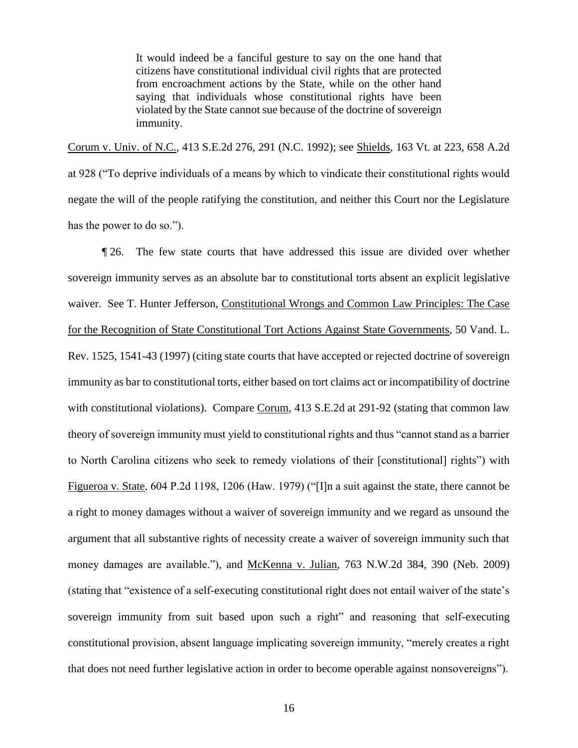It would indeed be a fanciful gesture to say on the one hand that citizens have constitutional individual civil rights that are protected from encroachment actions by the State, while on the other hand saying that individuals whose constitutional rights have been violated by the State cannot sue because of the doctrine of sovereign immunity.

Corum v. Univ. of N.C., 413 S.E.2d 276, 291 (N.C. 1992); see Shields, 163 Vt. at 223, 658 A.2d at 928 ("To deprive individuals of a means by which to vindicate their constitutional rights would negate the will of the people ratifying the constitution, and neither this Court nor the Legislature has the power to do so.").

¶ 26. The few state courts that have addressed this issue are divided over whether sovereign immunity serves as an absolute bar to constitutional torts absent an explicit legislative waiver. See T. Hunter Jefferson, Constitutional Wrongs and Common Law Principles: The Case for the Recognition of State Constitutional Tort Actions Against State Governments, 50 Vand. L. Rev. 1525, 1541-43 (1997) (citing state courts that have accepted or rejected doctrine of sovereign immunity as bar to constitutional torts, either based on tort claims act or incompatibility of doctrine with constitutional violations). Compare Corum, 413 S.E.2d at 291-92 (stating that common law theory of sovereign immunity must yield to constitutional rights and thus "cannot stand as a barrier to North Carolina citizens who seek to remedy violations of their [constitutional] rights") with Figueroa v. State, 604 P.2d 1198, 1206 (Haw. 1979) ("[I]n a suit against the state, there cannot be a right to money damages without a waiver of sovereign immunity and we regard as unsound the argument that all substantive rights of necessity create a waiver of sovereign immunity such that money damages are available."), and McKenna v. Julian, 763 N.W.2d 384, 390 (Neb. 2009) (stating that "existence of a self-executing constitutional right does not entail waiver of the state's sovereign immunity from suit based upon such a right" and reasoning that self-executing constitutional provision, absent language implicating sovereign immunity, "merely creates a right that does not need further legislative action in order to become operable against nonsovereigns").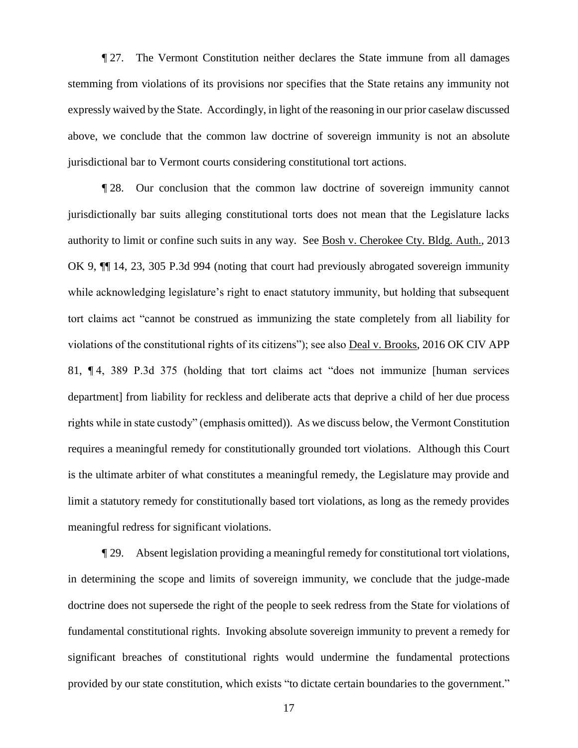¶ 27. The Vermont Constitution neither declares the State immune from all damages stemming from violations of its provisions nor specifies that the State retains any immunity not expressly waived by the State. Accordingly, in light of the reasoning in our prior caselaw discussed above, we conclude that the common law doctrine of sovereign immunity is not an absolute jurisdictional bar to Vermont courts considering constitutional tort actions.

¶ 28. Our conclusion that the common law doctrine of sovereign immunity cannot jurisdictionally bar suits alleging constitutional torts does not mean that the Legislature lacks authority to limit or confine such suits in any way. See Bosh v. Cherokee Cty. Bldg. Auth., 2013 OK 9, ¶¶ 14, 23, 305 P.3d 994 (noting that court had previously abrogated sovereign immunity while acknowledging legislature's right to enact statutory immunity, but holding that subsequent tort claims act "cannot be construed as immunizing the state completely from all liability for violations of the constitutional rights of its citizens"); see also Deal v. Brooks, 2016 OK CIV APP 81, ¶ 4, 389 P.3d 375 (holding that tort claims act "does not immunize [human services department] from liability for reckless and deliberate acts that deprive a child of her due process rights while in state custody" (emphasis omitted)). As we discuss below, the Vermont Constitution requires a meaningful remedy for constitutionally grounded tort violations. Although this Court is the ultimate arbiter of what constitutes a meaningful remedy, the Legislature may provide and limit a statutory remedy for constitutionally based tort violations, as long as the remedy provides meaningful redress for significant violations.

¶ 29. Absent legislation providing a meaningful remedy for constitutional tort violations, in determining the scope and limits of sovereign immunity, we conclude that the judge-made doctrine does not supersede the right of the people to seek redress from the State for violations of fundamental constitutional rights. Invoking absolute sovereign immunity to prevent a remedy for significant breaches of constitutional rights would undermine the fundamental protections provided by our state constitution, which exists "to dictate certain boundaries to the government."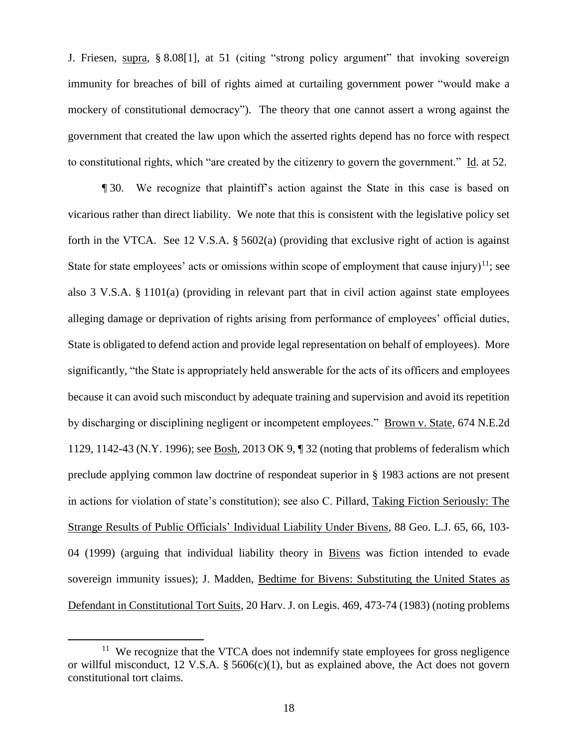J. Friesen, supra, § 8.08[1], at 51 (citing "strong policy argument" that invoking sovereign immunity for breaches of bill of rights aimed at curtailing government power "would make a mockery of constitutional democracy"). The theory that one cannot assert a wrong against the government that created the law upon which the asserted rights depend has no force with respect to constitutional rights, which "are created by the citizenry to govern the government." Id. at 52.

¶ 30. We recognize that plaintiff's action against the State in this case is based on vicarious rather than direct liability. We note that this is consistent with the legislative policy set forth in the VTCA. See 12 V.S.A. § 5602(a) (providing that exclusive right of action is against State for state employees' acts or omissions within scope of employment that cause injury)<sup>11</sup>; see also 3 V.S.A. § 1101(a) (providing in relevant part that in civil action against state employees alleging damage or deprivation of rights arising from performance of employees' official duties, State is obligated to defend action and provide legal representation on behalf of employees). More significantly, "the State is appropriately held answerable for the acts of its officers and employees because it can avoid such misconduct by adequate training and supervision and avoid its repetition by discharging or disciplining negligent or incompetent employees." Brown v. State, 674 N.E.2d 1129, 1142-43 (N.Y. 1996); see Bosh, 2013 OK 9, ¶ 32 (noting that problems of federalism which preclude applying common law doctrine of respondeat superior in § 1983 actions are not present in actions for violation of state's constitution); see also C. Pillard, Taking Fiction Seriously: The Strange Results of Public Officials' Individual Liability Under Bivens, 88 Geo. L.J. 65, 66, 103- 04 (1999) (arguing that individual liability theory in Bivens was fiction intended to evade sovereign immunity issues); J. Madden, Bedtime for Bivens: Substituting the United States as Defendant in Constitutional Tort Suits, 20 Harv. J. on Legis. 469, 473-74 (1983) (noting problems

<sup>&</sup>lt;sup>11</sup> We recognize that the VTCA does not indemnify state employees for gross negligence or willful misconduct, 12 V.S.A.  $\S$  5606(c)(1), but as explained above, the Act does not govern constitutional tort claims.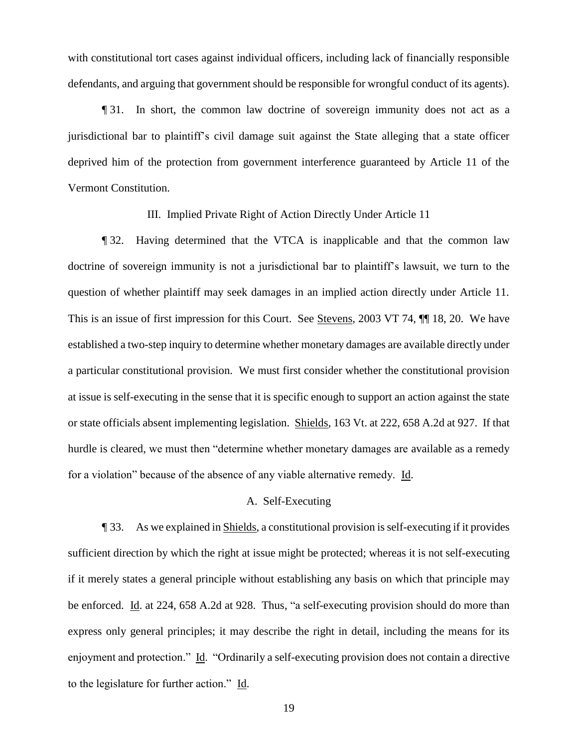with constitutional tort cases against individual officers, including lack of financially responsible defendants, and arguing that government should be responsible for wrongful conduct of its agents).

¶ 31. In short, the common law doctrine of sovereign immunity does not act as a jurisdictional bar to plaintiff's civil damage suit against the State alleging that a state officer deprived him of the protection from government interference guaranteed by Article 11 of the Vermont Constitution.

III. Implied Private Right of Action Directly Under Article 11

¶ 32. Having determined that the VTCA is inapplicable and that the common law doctrine of sovereign immunity is not a jurisdictional bar to plaintiff's lawsuit, we turn to the question of whether plaintiff may seek damages in an implied action directly under Article 11. This is an issue of first impression for this Court. See Stevens, 2003 VT 74, ¶¶ 18, 20. We have established a two-step inquiry to determine whether monetary damages are available directly under a particular constitutional provision. We must first consider whether the constitutional provision at issue is self-executing in the sense that it is specific enough to support an action against the state or state officials absent implementing legislation. Shields, 163 Vt. at 222, 658 A.2d at 927. If that hurdle is cleared, we must then "determine whether monetary damages are available as a remedy for a violation" because of the absence of any viable alternative remedy. Id.

# A. Self-Executing

¶ 33. As we explained in Shields, a constitutional provision is self-executing if it provides sufficient direction by which the right at issue might be protected; whereas it is not self-executing if it merely states a general principle without establishing any basis on which that principle may be enforced. Id. at 224, 658 A.2d at 928. Thus, "a self-executing provision should do more than express only general principles; it may describe the right in detail, including the means for its enjoyment and protection." Id. "Ordinarily a self-executing provision does not contain a directive to the legislature for further action." Id.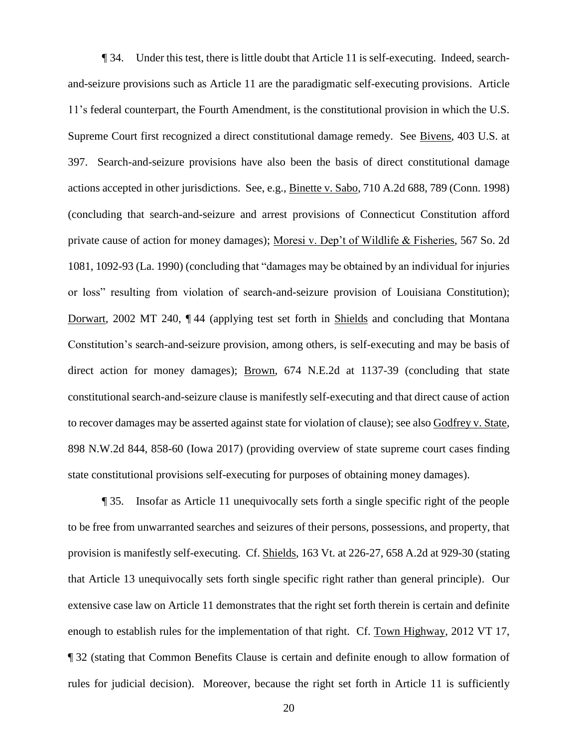¶ 34. Under this test, there is little doubt that Article 11 is self-executing. Indeed, searchand-seizure provisions such as Article 11 are the paradigmatic self-executing provisions. Article 11's federal counterpart, the Fourth Amendment, is the constitutional provision in which the U.S. Supreme Court first recognized a direct constitutional damage remedy. See Bivens, 403 U.S. at 397. Search-and-seizure provisions have also been the basis of direct constitutional damage actions accepted in other jurisdictions. See, e.g., Binette v. Sabo, 710 A.2d 688, 789 (Conn. 1998) (concluding that search-and-seizure and arrest provisions of Connecticut Constitution afford private cause of action for money damages); Moresi v. Dep't of Wildlife & Fisheries, 567 So. 2d 1081, 1092-93 (La. 1990) (concluding that "damages may be obtained by an individual for injuries or loss" resulting from violation of search-and-seizure provision of Louisiana Constitution); Dorwart, 2002 MT 240, ¶ 44 (applying test set forth in Shields and concluding that Montana Constitution's search-and-seizure provision, among others, is self-executing and may be basis of direct action for money damages); Brown, 674 N.E.2d at 1137-39 (concluding that state constitutional search-and-seizure clause is manifestly self-executing and that direct cause of action to recover damages may be asserted against state for violation of clause); see also Godfrey v. State, 898 N.W.2d 844, 858-60 (Iowa 2017) (providing overview of state supreme court cases finding state constitutional provisions self-executing for purposes of obtaining money damages).

¶ 35. Insofar as Article 11 unequivocally sets forth a single specific right of the people to be free from unwarranted searches and seizures of their persons, possessions, and property, that provision is manifestly self-executing. Cf. Shields, 163 Vt. at 226-27, 658 A.2d at 929-30 (stating that Article 13 unequivocally sets forth single specific right rather than general principle). Our extensive case law on Article 11 demonstrates that the right set forth therein is certain and definite enough to establish rules for the implementation of that right. Cf. Town Highway, 2012 VT 17, ¶ 32 (stating that Common Benefits Clause is certain and definite enough to allow formation of rules for judicial decision). Moreover, because the right set forth in Article 11 is sufficiently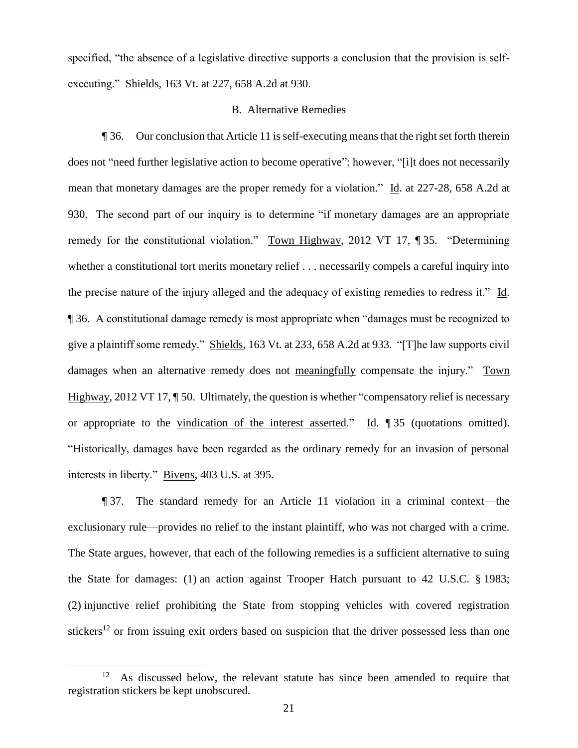specified, "the absence of a legislative directive supports a conclusion that the provision is selfexecuting." Shields, 163 Vt. at 227, 658 A.2d at 930.

# B. Alternative Remedies

¶ 36. Our conclusion that Article 11 is self-executing means that the right set forth therein does not "need further legislative action to become operative"; however, "[i]t does not necessarily mean that monetary damages are the proper remedy for a violation." Id. at 227-28, 658 A.2d at 930. The second part of our inquiry is to determine "if monetary damages are an appropriate remedy for the constitutional violation." Town Highway, 2012 VT 17, ¶ 35. "Determining whether a constitutional tort merits monetary relief . . . necessarily compels a careful inquiry into the precise nature of the injury alleged and the adequacy of existing remedies to redress it." Id. ¶ 36. A constitutional damage remedy is most appropriate when "damages must be recognized to give a plaintiff some remedy." Shields, 163 Vt. at 233, 658 A.2d at 933. "[T]he law supports civil damages when an alternative remedy does not meaningfully compensate the injury." Town Highway, 2012 VT 17,  $\P$  50. Ultimately, the question is whether "compensatory relief is necessary or appropriate to the vindication of the interest asserted." Id. ¶ 35 (quotations omitted). "Historically, damages have been regarded as the ordinary remedy for an invasion of personal interests in liberty." Bivens, 403 U.S. at 395.

¶ 37. The standard remedy for an Article 11 violation in a criminal context—the exclusionary rule—provides no relief to the instant plaintiff, who was not charged with a crime. The State argues, however, that each of the following remedies is a sufficient alternative to suing the State for damages: (1) an action against Trooper Hatch pursuant to 42 U.S.C. § 1983; (2) injunctive relief prohibiting the State from stopping vehicles with covered registration stickers<sup>12</sup> or from issuing exit orders based on suspicion that the driver possessed less than one

<sup>12</sup> As discussed below, the relevant statute has since been amended to require that registration stickers be kept unobscured.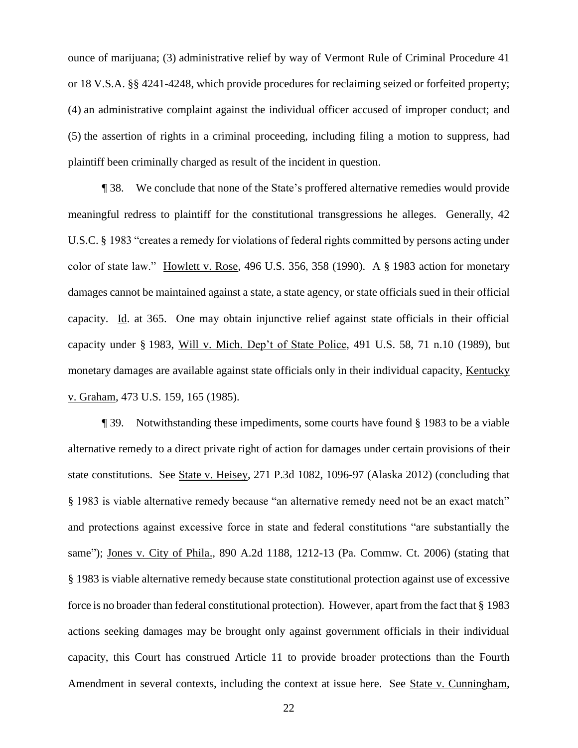ounce of marijuana; (3) administrative relief by way of Vermont Rule of Criminal Procedure 41 or 18 V.S.A. §§ 4241-4248, which provide procedures for reclaiming seized or forfeited property; (4) an administrative complaint against the individual officer accused of improper conduct; and (5) the assertion of rights in a criminal proceeding, including filing a motion to suppress, had plaintiff been criminally charged as result of the incident in question.

¶ 38. We conclude that none of the State's proffered alternative remedies would provide meaningful redress to plaintiff for the constitutional transgressions he alleges. Generally, 42 U.S.C. § 1983 "creates a remedy for violations of federal rights committed by persons acting under color of state law." Howlett v. Rose, 496 U.S. 356, 358 (1990). A § 1983 action for monetary damages cannot be maintained against a state, a state agency, or state officials sued in their official capacity. Id. at 365. One may obtain injunctive relief against state officials in their official capacity under § 1983, Will v. Mich. Dep't of State Police, 491 U.S. 58, 71 n.10 (1989), but monetary damages are available against state officials only in their individual capacity, Kentucky v. Graham, 473 U.S. 159, 165 (1985).

¶ 39. Notwithstanding these impediments, some courts have found § 1983 to be a viable alternative remedy to a direct private right of action for damages under certain provisions of their state constitutions. See State v. Heisey, 271 P.3d 1082, 1096-97 (Alaska 2012) (concluding that § 1983 is viable alternative remedy because "an alternative remedy need not be an exact match" and protections against excessive force in state and federal constitutions "are substantially the same"); Jones v. City of Phila., 890 A.2d 1188, 1212-13 (Pa. Commw. Ct. 2006) (stating that § 1983 is viable alternative remedy because state constitutional protection against use of excessive force is no broader than federal constitutional protection). However, apart from the fact that § 1983 actions seeking damages may be brought only against government officials in their individual capacity, this Court has construed Article 11 to provide broader protections than the Fourth Amendment in several contexts, including the context at issue here. See State v. Cunningham,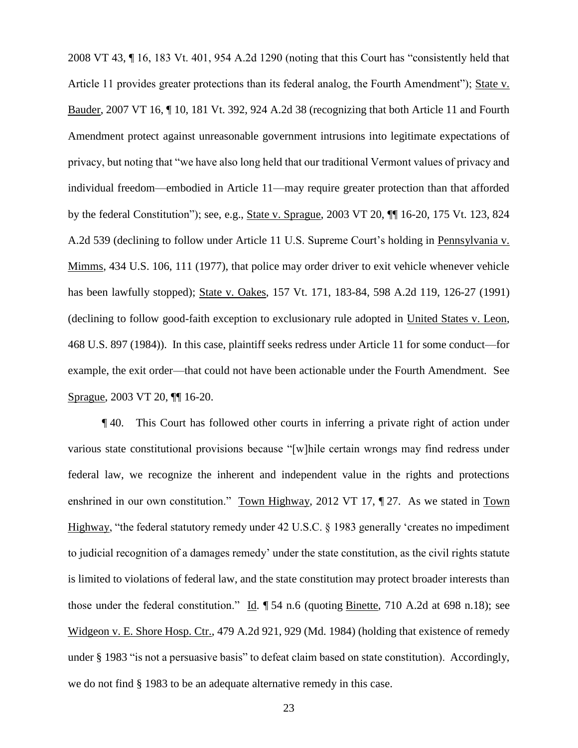2008 VT 43, ¶ 16, 183 Vt. 401, 954 A.2d 1290 (noting that this Court has "consistently held that Article 11 provides greater protections than its federal analog, the Fourth Amendment"); State v. Bauder, 2007 VT 16, ¶ 10, 181 Vt. 392, 924 A.2d 38 (recognizing that both Article 11 and Fourth Amendment protect against unreasonable government intrusions into legitimate expectations of privacy, but noting that "we have also long held that our traditional Vermont values of privacy and individual freedom—embodied in Article 11—may require greater protection than that afforded by the federal Constitution"); see, e.g., State v. Sprague, 2003 VT 20, ¶¶ 16-20, 175 Vt. 123, 824 A.2d 539 (declining to follow under Article 11 U.S. Supreme Court's holding in Pennsylvania v. Mimms, 434 U.S. 106, 111 (1977), that police may order driver to exit vehicle whenever vehicle has been lawfully stopped); State v. Oakes, 157 Vt. 171, 183-84, 598 A.2d 119, 126-27 (1991) (declining to follow good-faith exception to exclusionary rule adopted in United States v. Leon, 468 U.S. 897 (1984)). In this case, plaintiff seeks redress under Article 11 for some conduct—for example, the exit order—that could not have been actionable under the Fourth Amendment. See Sprague, 2003 VT 20, ¶¶ 16-20.

¶ 40. This Court has followed other courts in inferring a private right of action under various state constitutional provisions because "[w]hile certain wrongs may find redress under federal law, we recognize the inherent and independent value in the rights and protections enshrined in our own constitution." Town Highway, 2012 VT 17, ¶ 27. As we stated in Town Highway, "the federal statutory remedy under 42 U.S.C. § 1983 generally 'creates no impediment to judicial recognition of a damages remedy' under the state constitution, as the civil rights statute is limited to violations of federal law, and the state constitution may protect broader interests than those under the federal constitution." Id. ¶ 54 n.6 (quoting Binette, 710 A.2d at 698 n.18); see Widgeon v. E. Shore Hosp. Ctr., 479 A.2d 921, 929 (Md. 1984) (holding that existence of remedy under § 1983 "is not a persuasive basis" to defeat claim based on state constitution). Accordingly, we do not find § 1983 to be an adequate alternative remedy in this case.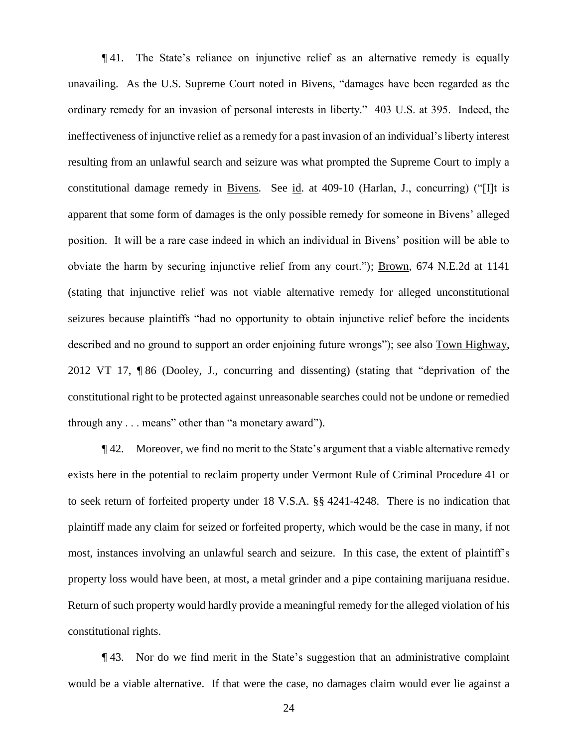¶ 41. The State's reliance on injunctive relief as an alternative remedy is equally unavailing. As the U.S. Supreme Court noted in Bivens, "damages have been regarded as the ordinary remedy for an invasion of personal interests in liberty." 403 U.S. at 395. Indeed, the ineffectiveness of injunctive relief as a remedy for a past invasion of an individual's liberty interest resulting from an unlawful search and seizure was what prompted the Supreme Court to imply a constitutional damage remedy in Bivens. See id. at 409-10 (Harlan, J., concurring) ("[I]t is apparent that some form of damages is the only possible remedy for someone in Bivens' alleged position. It will be a rare case indeed in which an individual in Bivens' position will be able to obviate the harm by securing injunctive relief from any court."); Brown, 674 N.E.2d at 1141 (stating that injunctive relief was not viable alternative remedy for alleged unconstitutional seizures because plaintiffs "had no opportunity to obtain injunctive relief before the incidents described and no ground to support an order enjoining future wrongs"); see also Town Highway, 2012 VT 17, ¶ 86 (Dooley, J., concurring and dissenting) (stating that "deprivation of the constitutional right to be protected against unreasonable searches could not be undone or remedied through any . . . means" other than "a monetary award").

¶ 42. Moreover, we find no merit to the State's argument that a viable alternative remedy exists here in the potential to reclaim property under Vermont Rule of Criminal Procedure 41 or to seek return of forfeited property under 18 V.S.A. §§ 4241-4248. There is no indication that plaintiff made any claim for seized or forfeited property, which would be the case in many, if not most, instances involving an unlawful search and seizure. In this case, the extent of plaintiff's property loss would have been, at most, a metal grinder and a pipe containing marijuana residue. Return of such property would hardly provide a meaningful remedy for the alleged violation of his constitutional rights.

¶ 43. Nor do we find merit in the State's suggestion that an administrative complaint would be a viable alternative. If that were the case, no damages claim would ever lie against a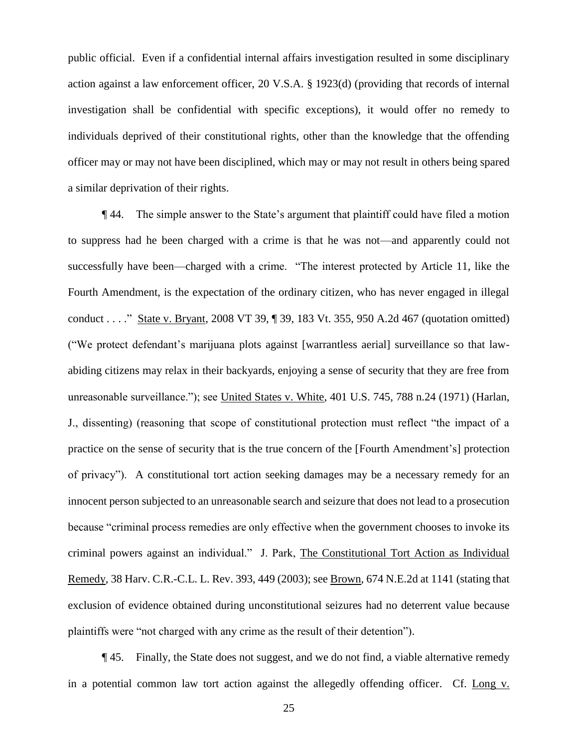public official. Even if a confidential internal affairs investigation resulted in some disciplinary action against a law enforcement officer, 20 V.S.A. § 1923(d) (providing that records of internal investigation shall be confidential with specific exceptions), it would offer no remedy to individuals deprived of their constitutional rights, other than the knowledge that the offending officer may or may not have been disciplined, which may or may not result in others being spared a similar deprivation of their rights.

¶ 44. The simple answer to the State's argument that plaintiff could have filed a motion to suppress had he been charged with a crime is that he was not—and apparently could not successfully have been—charged with a crime. "The interest protected by Article 11, like the Fourth Amendment, is the expectation of the ordinary citizen, who has never engaged in illegal conduct . . . ." State v. Bryant, 2008 VT 39, ¶ 39, 183 Vt. 355, 950 A.2d 467 (quotation omitted) ("We protect defendant's marijuana plots against [warrantless aerial] surveillance so that lawabiding citizens may relax in their backyards, enjoying a sense of security that they are free from unreasonable surveillance."); see United States v. White, 401 U.S. 745, 788 n.24 (1971) (Harlan, J., dissenting) (reasoning that scope of constitutional protection must reflect "the impact of a practice on the sense of security that is the true concern of the [Fourth Amendment's] protection of privacy"). A constitutional tort action seeking damages may be a necessary remedy for an innocent person subjected to an unreasonable search and seizure that does not lead to a prosecution because "criminal process remedies are only effective when the government chooses to invoke its criminal powers against an individual." J. Park, The Constitutional Tort Action as Individual Remedy, 38 Harv. C.R.-C.L. L. Rev. 393, 449 (2003); see Brown, 674 N.E.2d at 1141 (stating that exclusion of evidence obtained during unconstitutional seizures had no deterrent value because plaintiffs were "not charged with any crime as the result of their detention").

¶ 45. Finally, the State does not suggest, and we do not find, a viable alternative remedy in a potential common law tort action against the allegedly offending officer. Cf. Long v.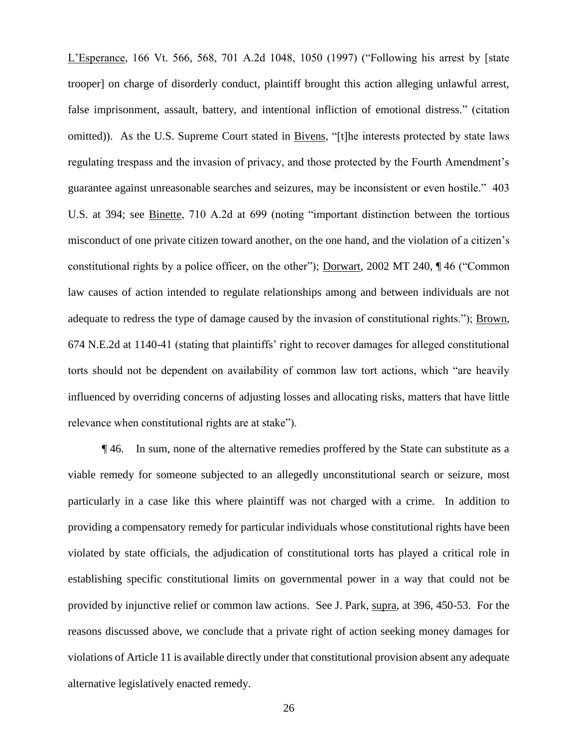L'Esperance, 166 Vt. 566, 568, 701 A.2d 1048, 1050 (1997) ("Following his arrest by [state trooper] on charge of disorderly conduct, plaintiff brought this action alleging unlawful arrest, false imprisonment, assault, battery, and intentional infliction of emotional distress." (citation omitted)). As the U.S. Supreme Court stated in Bivens, "[t]he interests protected by state laws regulating trespass and the invasion of privacy, and those protected by the Fourth Amendment's guarantee against unreasonable searches and seizures, may be inconsistent or even hostile." 403 U.S. at 394; see Binette, 710 A.2d at 699 (noting "important distinction between the tortious misconduct of one private citizen toward another, on the one hand, and the violation of a citizen's constitutional rights by a police officer, on the other"); Dorwart, 2002 MT 240, ¶ 46 ("Common law causes of action intended to regulate relationships among and between individuals are not adequate to redress the type of damage caused by the invasion of constitutional rights."); Brown, 674 N.E.2d at 1140-41 (stating that plaintiffs' right to recover damages for alleged constitutional torts should not be dependent on availability of common law tort actions, which "are heavily influenced by overriding concerns of adjusting losses and allocating risks, matters that have little relevance when constitutional rights are at stake").

¶ 46. In sum, none of the alternative remedies proffered by the State can substitute as a viable remedy for someone subjected to an allegedly unconstitutional search or seizure, most particularly in a case like this where plaintiff was not charged with a crime. In addition to providing a compensatory remedy for particular individuals whose constitutional rights have been violated by state officials, the adjudication of constitutional torts has played a critical role in establishing specific constitutional limits on governmental power in a way that could not be provided by injunctive relief or common law actions. See J. Park, supra, at 396, 450-53. For the reasons discussed above, we conclude that a private right of action seeking money damages for violations of Article 11 is available directly under that constitutional provision absent any adequate alternative legislatively enacted remedy.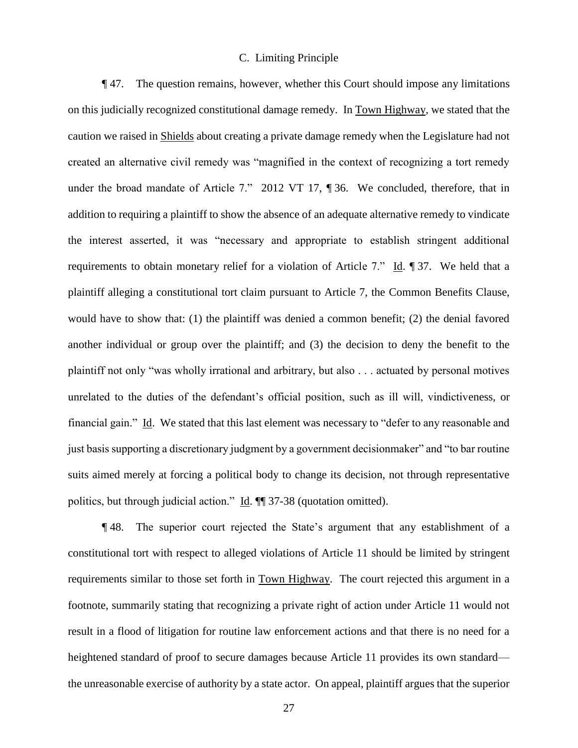### C. Limiting Principle

¶ 47. The question remains, however, whether this Court should impose any limitations on this judicially recognized constitutional damage remedy. In Town Highway, we stated that the caution we raised in Shields about creating a private damage remedy when the Legislature had not created an alternative civil remedy was "magnified in the context of recognizing a tort remedy under the broad mandate of Article 7." 2012 VT 17, ¶ 36. We concluded, therefore, that in addition to requiring a plaintiff to show the absence of an adequate alternative remedy to vindicate the interest asserted, it was "necessary and appropriate to establish stringent additional requirements to obtain monetary relief for a violation of Article 7." Id.  $\parallel$  37. We held that a plaintiff alleging a constitutional tort claim pursuant to Article 7, the Common Benefits Clause, would have to show that: (1) the plaintiff was denied a common benefit; (2) the denial favored another individual or group over the plaintiff; and (3) the decision to deny the benefit to the plaintiff not only "was wholly irrational and arbitrary, but also . . . actuated by personal motives unrelated to the duties of the defendant's official position, such as ill will, vindictiveness, or financial gain." Id. We stated that this last element was necessary to "defer to any reasonable and just basis supporting a discretionary judgment by a government decisionmaker" and "to bar routine suits aimed merely at forcing a political body to change its decision, not through representative politics, but through judicial action." Id. ¶¶ 37-38 (quotation omitted).

¶ 48. The superior court rejected the State's argument that any establishment of a constitutional tort with respect to alleged violations of Article 11 should be limited by stringent requirements similar to those set forth in Town Highway. The court rejected this argument in a footnote, summarily stating that recognizing a private right of action under Article 11 would not result in a flood of litigation for routine law enforcement actions and that there is no need for a heightened standard of proof to secure damages because Article 11 provides its own standard the unreasonable exercise of authority by a state actor. On appeal, plaintiff argues that the superior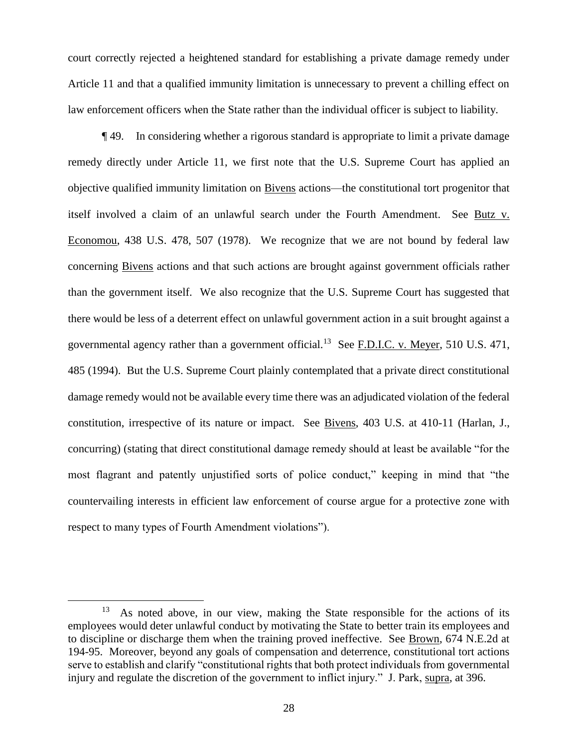court correctly rejected a heightened standard for establishing a private damage remedy under Article 11 and that a qualified immunity limitation is unnecessary to prevent a chilling effect on law enforcement officers when the State rather than the individual officer is subject to liability.

¶ 49. In considering whether a rigorous standard is appropriate to limit a private damage remedy directly under Article 11, we first note that the U.S. Supreme Court has applied an objective qualified immunity limitation on Bivens actions—the constitutional tort progenitor that itself involved a claim of an unlawful search under the Fourth Amendment. See Butz v. Economou, 438 U.S. 478, 507 (1978). We recognize that we are not bound by federal law concerning Bivens actions and that such actions are brought against government officials rather than the government itself. We also recognize that the U.S. Supreme Court has suggested that there would be less of a deterrent effect on unlawful government action in a suit brought against a governmental agency rather than a government official.<sup>13</sup> See F.D.I.C. v. Meyer, 510 U.S. 471, 485 (1994). But the U.S. Supreme Court plainly contemplated that a private direct constitutional damage remedy would not be available every time there was an adjudicated violation of the federal constitution, irrespective of its nature or impact. See Bivens, 403 U.S. at 410-11 (Harlan, J., concurring) (stating that direct constitutional damage remedy should at least be available "for the most flagrant and patently unjustified sorts of police conduct," keeping in mind that "the countervailing interests in efficient law enforcement of course argue for a protective zone with respect to many types of Fourth Amendment violations").

<sup>13</sup> As noted above, in our view, making the State responsible for the actions of its employees would deter unlawful conduct by motivating the State to better train its employees and to discipline or discharge them when the training proved ineffective. See Brown, 674 N.E.2d at 194-95. Moreover, beyond any goals of compensation and deterrence, constitutional tort actions serve to establish and clarify "constitutional rights that both protect individuals from governmental injury and regulate the discretion of the government to inflict injury." J. Park, supra, at 396.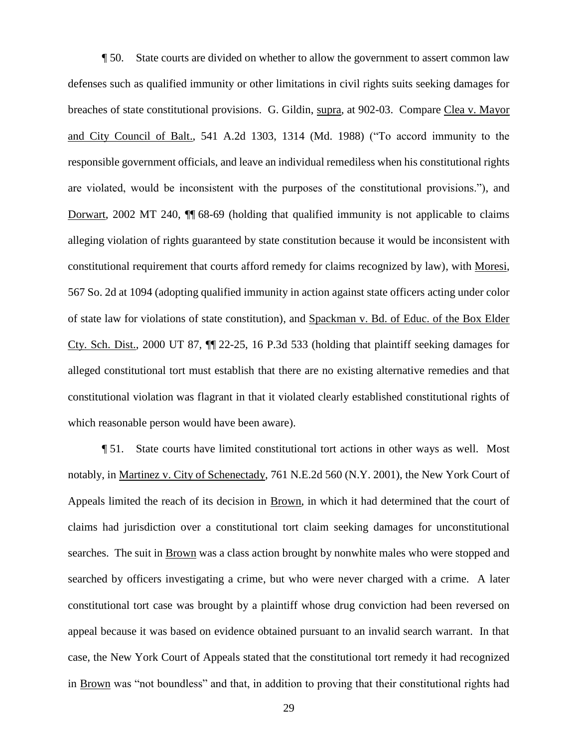¶ 50. State courts are divided on whether to allow the government to assert common law defenses such as qualified immunity or other limitations in civil rights suits seeking damages for breaches of state constitutional provisions. G. Gildin, supra, at 902-03. Compare Clea v. Mayor and City Council of Balt., 541 A.2d 1303, 1314 (Md. 1988) ("To accord immunity to the responsible government officials, and leave an individual remediless when his constitutional rights are violated, would be inconsistent with the purposes of the constitutional provisions."), and Dorwart, 2002 MT 240, ¶¶ 68-69 (holding that qualified immunity is not applicable to claims alleging violation of rights guaranteed by state constitution because it would be inconsistent with constitutional requirement that courts afford remedy for claims recognized by law), with Moresi, 567 So. 2d at 1094 (adopting qualified immunity in action against state officers acting under color of state law for violations of state constitution), and Spackman v. Bd. of Educ. of the Box Elder Cty. Sch. Dist., 2000 UT 87, ¶¶ 22-25, 16 P.3d 533 (holding that plaintiff seeking damages for alleged constitutional tort must establish that there are no existing alternative remedies and that constitutional violation was flagrant in that it violated clearly established constitutional rights of which reasonable person would have been aware).

¶ 51. State courts have limited constitutional tort actions in other ways as well. Most notably, in Martinez v. City of Schenectady, 761 N.E.2d 560 (N.Y. 2001), the New York Court of Appeals limited the reach of its decision in Brown, in which it had determined that the court of claims had jurisdiction over a constitutional tort claim seeking damages for unconstitutional searches. The suit in **Brown** was a class action brought by nonwhite males who were stopped and searched by officers investigating a crime, but who were never charged with a crime. A later constitutional tort case was brought by a plaintiff whose drug conviction had been reversed on appeal because it was based on evidence obtained pursuant to an invalid search warrant. In that case, the New York Court of Appeals stated that the constitutional tort remedy it had recognized in Brown was "not boundless" and that, in addition to proving that their constitutional rights had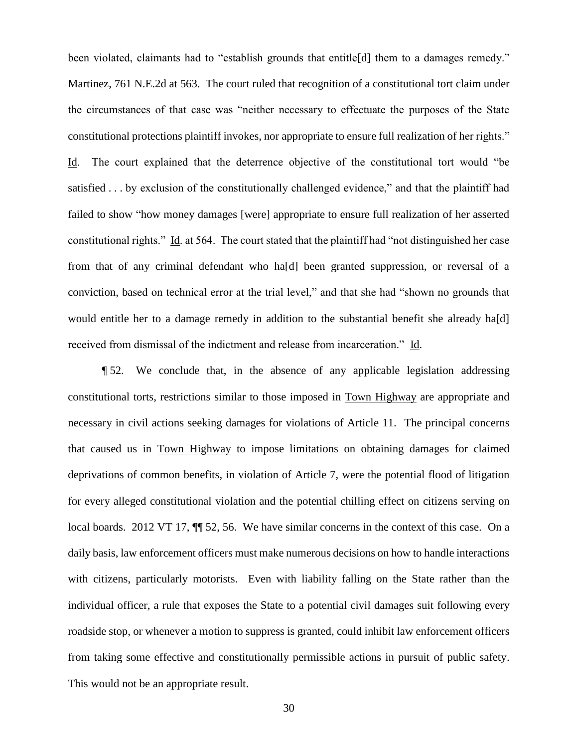been violated, claimants had to "establish grounds that entitle[d] them to a damages remedy." Martinez, 761 N.E.2d at 563. The court ruled that recognition of a constitutional tort claim under the circumstances of that case was "neither necessary to effectuate the purposes of the State constitutional protections plaintiff invokes, nor appropriate to ensure full realization of her rights." Id. The court explained that the deterrence objective of the constitutional tort would "be satisfied . . . by exclusion of the constitutionally challenged evidence," and that the plaintiff had failed to show "how money damages [were] appropriate to ensure full realization of her asserted constitutional rights." Id. at 564. The court stated that the plaintiff had "not distinguished her case from that of any criminal defendant who ha[d] been granted suppression, or reversal of a conviction, based on technical error at the trial level," and that she had "shown no grounds that would entitle her to a damage remedy in addition to the substantial benefit she already ha[d] received from dismissal of the indictment and release from incarceration." Id.

¶ 52. We conclude that, in the absence of any applicable legislation addressing constitutional torts, restrictions similar to those imposed in Town Highway are appropriate and necessary in civil actions seeking damages for violations of Article 11. The principal concerns that caused us in Town Highway to impose limitations on obtaining damages for claimed deprivations of common benefits, in violation of Article 7, were the potential flood of litigation for every alleged constitutional violation and the potential chilling effect on citizens serving on local boards. 2012 VT 17,  $\P$  52, 56. We have similar concerns in the context of this case. On a daily basis, law enforcement officers must make numerous decisions on how to handle interactions with citizens, particularly motorists. Even with liability falling on the State rather than the individual officer, a rule that exposes the State to a potential civil damages suit following every roadside stop, or whenever a motion to suppress is granted, could inhibit law enforcement officers from taking some effective and constitutionally permissible actions in pursuit of public safety. This would not be an appropriate result.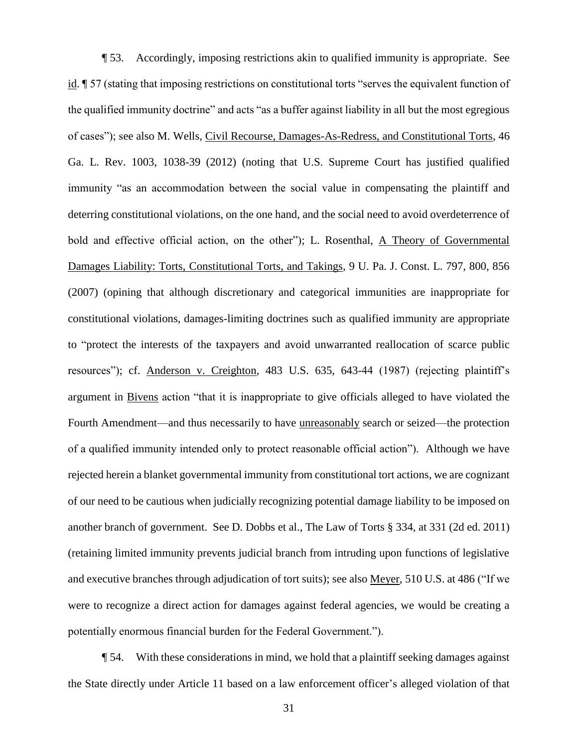¶ 53. Accordingly, imposing restrictions akin to qualified immunity is appropriate. See id. ¶ 57 (stating that imposing restrictions on constitutional torts "serves the equivalent function of the qualified immunity doctrine" and acts "as a buffer against liability in all but the most egregious of cases"); see also M. Wells, Civil Recourse, Damages-As-Redress, and Constitutional Torts, 46 Ga. L. Rev. 1003, 1038-39 (2012) (noting that U.S. Supreme Court has justified qualified immunity "as an accommodation between the social value in compensating the plaintiff and deterring constitutional violations, on the one hand, and the social need to avoid overdeterrence of bold and effective official action, on the other"); L. Rosenthal, A Theory of Governmental Damages Liability: Torts, Constitutional Torts, and Takings, 9 U. Pa. J. Const. L. 797, 800, 856 (2007) (opining that although discretionary and categorical immunities are inappropriate for constitutional violations, damages-limiting doctrines such as qualified immunity are appropriate to "protect the interests of the taxpayers and avoid unwarranted reallocation of scarce public resources"); cf. Anderson v. Creighton, 483 U.S. 635, 643-44 (1987) (rejecting plaintiff's argument in Bivens action "that it is inappropriate to give officials alleged to have violated the Fourth Amendment—and thus necessarily to have unreasonably search or seized—the protection of a qualified immunity intended only to protect reasonable official action"). Although we have rejected herein a blanket governmental immunity from constitutional tort actions, we are cognizant of our need to be cautious when judicially recognizing potential damage liability to be imposed on another branch of government. See D. Dobbs et al., The Law of Torts § 334, at 331 (2d ed. 2011) (retaining limited immunity prevents judicial branch from intruding upon functions of legislative and executive branches through adjudication of tort suits); see also Meyer, 510 U.S. at 486 ("If we were to recognize a direct action for damages against federal agencies, we would be creating a potentially enormous financial burden for the Federal Government.").

¶ 54. With these considerations in mind, we hold that a plaintiff seeking damages against the State directly under Article 11 based on a law enforcement officer's alleged violation of that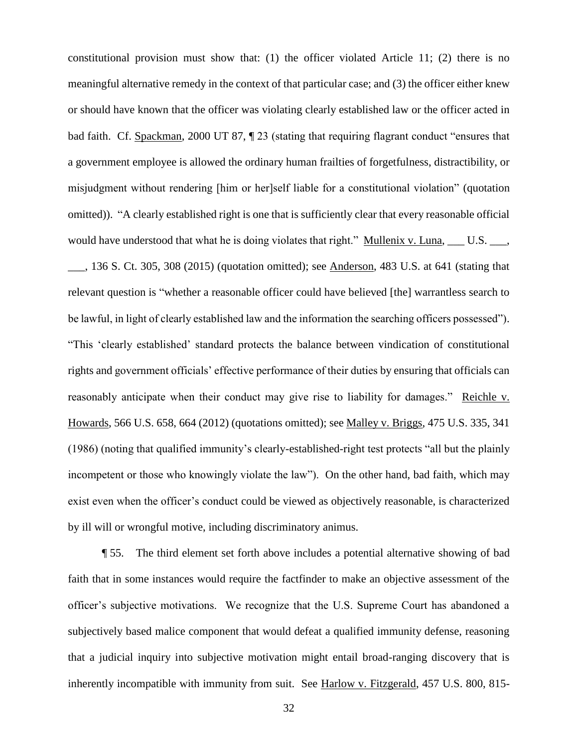constitutional provision must show that: (1) the officer violated Article 11; (2) there is no meaningful alternative remedy in the context of that particular case; and (3) the officer either knew or should have known that the officer was violating clearly established law or the officer acted in bad faith. Cf. Spackman, 2000 UT 87, ¶ 23 (stating that requiring flagrant conduct "ensures that a government employee is allowed the ordinary human frailties of forgetfulness, distractibility, or misjudgment without rendering [him or her]self liable for a constitutional violation" (quotation omitted)). "A clearly established right is one that is sufficiently clear that every reasonable official would have understood that what he is doing violates that right." Mullenix v. Luna, \_\_\_ U.S. \_\_\_, \_\_\_, 136 S. Ct. 305, 308 (2015) (quotation omitted); see Anderson, 483 U.S. at 641 (stating that relevant question is "whether a reasonable officer could have believed [the] warrantless search to be lawful, in light of clearly established law and the information the searching officers possessed"). "This 'clearly established' standard protects the balance between vindication of constitutional rights and government officials' effective performance of their duties by ensuring that officials can reasonably anticipate when their conduct may give rise to liability for damages." Reichle v. Howards, 566 U.S. 658, 664 (2012) (quotations omitted); see Malley v. Briggs, 475 U.S. 335, 341 (1986) (noting that qualified immunity's clearly-established-right test protects "all but the plainly incompetent or those who knowingly violate the law"). On the other hand, bad faith, which may exist even when the officer's conduct could be viewed as objectively reasonable, is characterized by ill will or wrongful motive, including discriminatory animus.

¶ 55. The third element set forth above includes a potential alternative showing of bad faith that in some instances would require the factfinder to make an objective assessment of the officer's subjective motivations. We recognize that the U.S. Supreme Court has abandoned a subjectively based malice component that would defeat a qualified immunity defense, reasoning that a judicial inquiry into subjective motivation might entail broad-ranging discovery that is inherently incompatible with immunity from suit. See Harlow v. Fitzgerald, 457 U.S. 800, 815-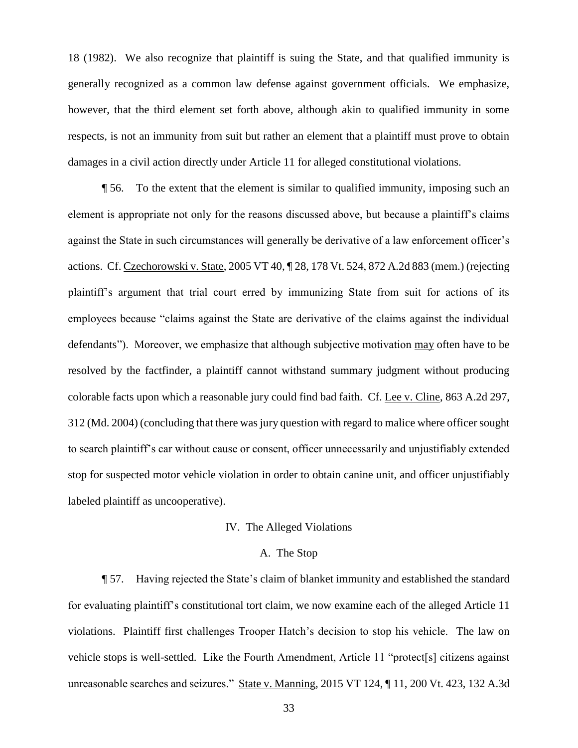18 (1982). We also recognize that plaintiff is suing the State, and that qualified immunity is generally recognized as a common law defense against government officials. We emphasize, however, that the third element set forth above, although akin to qualified immunity in some respects, is not an immunity from suit but rather an element that a plaintiff must prove to obtain damages in a civil action directly under Article 11 for alleged constitutional violations.

¶ 56. To the extent that the element is similar to qualified immunity, imposing such an element is appropriate not only for the reasons discussed above, but because a plaintiff's claims against the State in such circumstances will generally be derivative of a law enforcement officer's actions. Cf. Czechorowski v. State, 2005 VT 40, ¶ 28, 178 Vt. 524, 872 A.2d 883 (mem.) (rejecting plaintiff's argument that trial court erred by immunizing State from suit for actions of its employees because "claims against the State are derivative of the claims against the individual defendants"). Moreover, we emphasize that although subjective motivation may often have to be resolved by the factfinder, a plaintiff cannot withstand summary judgment without producing colorable facts upon which a reasonable jury could find bad faith. Cf. Lee v. Cline, 863 A.2d 297, 312 (Md. 2004) (concluding that there was jury question with regard to malice where officer sought to search plaintiff's car without cause or consent, officer unnecessarily and unjustifiably extended stop for suspected motor vehicle violation in order to obtain canine unit, and officer unjustifiably labeled plaintiff as uncooperative).

### IV. The Alleged Violations

### A. The Stop

¶ 57. Having rejected the State's claim of blanket immunity and established the standard for evaluating plaintiff's constitutional tort claim, we now examine each of the alleged Article 11 violations. Plaintiff first challenges Trooper Hatch's decision to stop his vehicle. The law on vehicle stops is well-settled. Like the Fourth Amendment, Article 11 "protect[s] citizens against unreasonable searches and seizures." State v. Manning, 2015 VT 124, ¶ 11, 200 Vt. 423, 132 A.3d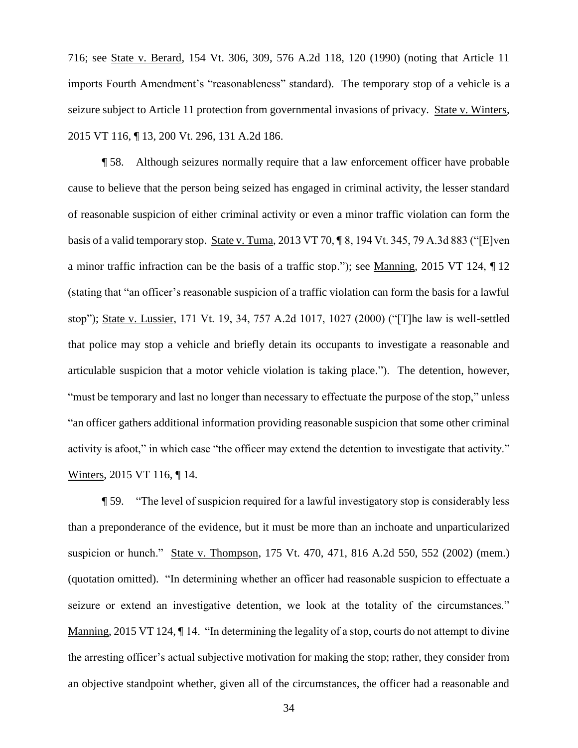716; see State v. Berard, 154 Vt. 306, 309, 576 A.2d 118, 120 (1990) (noting that Article 11 imports Fourth Amendment's "reasonableness" standard). The temporary stop of a vehicle is a seizure subject to Article 11 protection from governmental invasions of privacy. State v. Winters, 2015 VT 116, ¶ 13, 200 Vt. 296, 131 A.2d 186.

¶ 58. Although seizures normally require that a law enforcement officer have probable cause to believe that the person being seized has engaged in criminal activity, the lesser standard of reasonable suspicion of either criminal activity or even a minor traffic violation can form the basis of a valid temporary stop. State v. Tuma, 2013 VT 70, ¶ 8, 194 Vt. 345, 79 A.3d 883 ("[E]ven a minor traffic infraction can be the basis of a traffic stop."); see Manning, 2015 VT 124, ¶ 12 (stating that "an officer's reasonable suspicion of a traffic violation can form the basis for a lawful stop"); State v. Lussier, 171 Vt. 19, 34, 757 A.2d 1017, 1027 (2000) ("[T]he law is well-settled that police may stop a vehicle and briefly detain its occupants to investigate a reasonable and articulable suspicion that a motor vehicle violation is taking place."). The detention, however, "must be temporary and last no longer than necessary to effectuate the purpose of the stop," unless "an officer gathers additional information providing reasonable suspicion that some other criminal activity is afoot," in which case "the officer may extend the detention to investigate that activity." Winters, 2015 VT 116, ¶ 14.

¶ 59. "The level of suspicion required for a lawful investigatory stop is considerably less than a preponderance of the evidence, but it must be more than an inchoate and unparticularized suspicion or hunch." State v. Thompson, 175 Vt. 470, 471, 816 A.2d 550, 552 (2002) (mem.) (quotation omitted). "In determining whether an officer had reasonable suspicion to effectuate a seizure or extend an investigative detention, we look at the totality of the circumstances." Manning, 2015 VT 124,  $\P$  14. "In determining the legality of a stop, courts do not attempt to divine the arresting officer's actual subjective motivation for making the stop; rather, they consider from an objective standpoint whether, given all of the circumstances, the officer had a reasonable and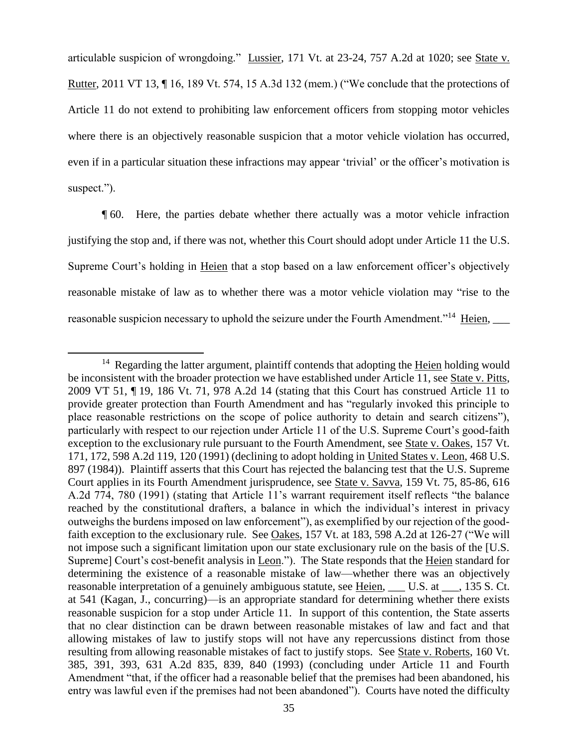articulable suspicion of wrongdoing." Lussier, 171 Vt. at 23-24, 757 A.2d at 1020; see State v. Rutter, 2011 VT 13, ¶ 16, 189 Vt. 574, 15 A.3d 132 (mem.) ("We conclude that the protections of Article 11 do not extend to prohibiting law enforcement officers from stopping motor vehicles where there is an objectively reasonable suspicion that a motor vehicle violation has occurred, even if in a particular situation these infractions may appear 'trivial' or the officer's motivation is suspect.").

¶ 60. Here, the parties debate whether there actually was a motor vehicle infraction justifying the stop and, if there was not, whether this Court should adopt under Article 11 the U.S. Supreme Court's holding in Heien that a stop based on a law enforcement officer's objectively reasonable mistake of law as to whether there was a motor vehicle violation may "rise to the reasonable suspicion necessary to uphold the seizure under the Fourth Amendment."<sup>14</sup> Heien,

<sup>&</sup>lt;sup>14</sup> Regarding the latter argument, plaintiff contends that adopting the Heien holding would be inconsistent with the broader protection we have established under Article 11, see State v. Pitts, 2009 VT 51, ¶ 19, 186 Vt. 71, 978 A.2d 14 (stating that this Court has construed Article 11 to provide greater protection than Fourth Amendment and has "regularly invoked this principle to place reasonable restrictions on the scope of police authority to detain and search citizens"), particularly with respect to our rejection under Article 11 of the U.S. Supreme Court's good-faith exception to the exclusionary rule pursuant to the Fourth Amendment, see State v. Oakes, 157 Vt. 171, 172, 598 A.2d 119, 120 (1991) (declining to adopt holding in United States v. Leon, 468 U.S. 897 (1984)). Plaintiff asserts that this Court has rejected the balancing test that the U.S. Supreme Court applies in its Fourth Amendment jurisprudence, see State v. Savva, 159 Vt. 75, 85-86, 616 A.2d 774, 780 (1991) (stating that Article 11's warrant requirement itself reflects "the balance reached by the constitutional drafters, a balance in which the individual's interest in privacy outweighs the burdens imposed on law enforcement"), as exemplified by our rejection of the goodfaith exception to the exclusionary rule. See Oakes, 157 Vt. at 183, 598 A.2d at 126-27 ("We will not impose such a significant limitation upon our state exclusionary rule on the basis of the [U.S. Supreme] Court's cost-benefit analysis in Leon."). The State responds that the Heien standard for determining the existence of a reasonable mistake of law—whether there was an objectively reasonable interpretation of a genuinely ambiguous statute, see Heien, L.C.S. at <sub>1</sub>, 135 S.Ct. at 541 (Kagan, J., concurring)—is an appropriate standard for determining whether there exists reasonable suspicion for a stop under Article 11. In support of this contention, the State asserts that no clear distinction can be drawn between reasonable mistakes of law and fact and that allowing mistakes of law to justify stops will not have any repercussions distinct from those resulting from allowing reasonable mistakes of fact to justify stops. See State v. Roberts, 160 Vt. 385, 391, 393, 631 A.2d 835, 839, 840 (1993) (concluding under Article 11 and Fourth Amendment "that, if the officer had a reasonable belief that the premises had been abandoned, his entry was lawful even if the premises had not been abandoned"). Courts have noted the difficulty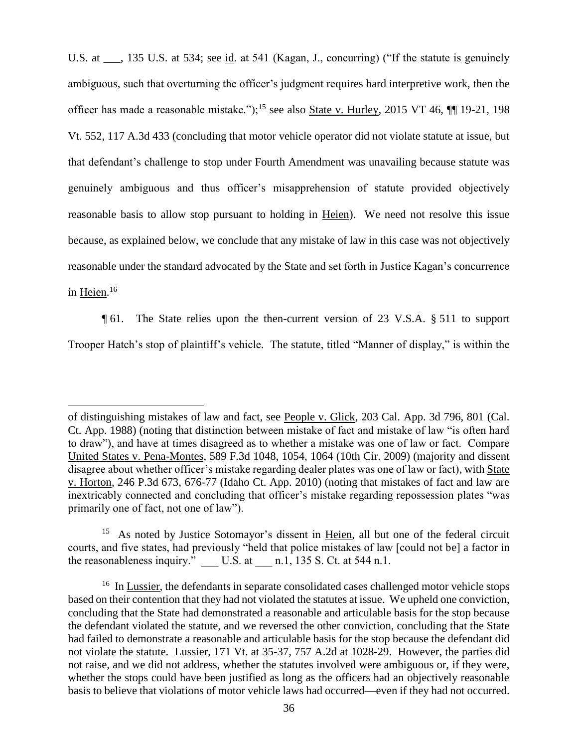U.S. at  $\ldots$ , 135 U.S. at 534; see id. at 541 (Kagan, J., concurring) ("If the statute is genuinely ambiguous, such that overturning the officer's judgment requires hard interpretive work, then the officer has made a reasonable mistake.");<sup>15</sup> see also State v. Hurley, 2015 VT 46, ¶¶ 19-21, 198 Vt. 552, 117 A.3d 433 (concluding that motor vehicle operator did not violate statute at issue, but that defendant's challenge to stop under Fourth Amendment was unavailing because statute was genuinely ambiguous and thus officer's misapprehension of statute provided objectively reasonable basis to allow stop pursuant to holding in Heien). We need not resolve this issue because, as explained below, we conclude that any mistake of law in this case was not objectively reasonable under the standard advocated by the State and set forth in Justice Kagan's concurrence in <u>Heien</u>.<sup>16</sup>

¶ 61. The State relies upon the then-current version of 23 V.S.A. § 511 to support Trooper Hatch's stop of plaintiff's vehicle. The statute, titled "Manner of display," is within the

of distinguishing mistakes of law and fact, see People v. Glick, 203 Cal. App. 3d 796, 801 (Cal. Ct. App. 1988) (noting that distinction between mistake of fact and mistake of law "is often hard to draw"), and have at times disagreed as to whether a mistake was one of law or fact. Compare United States v. Pena-Montes, 589 F.3d 1048, 1054, 1064 (10th Cir. 2009) (majority and dissent disagree about whether officer's mistake regarding dealer plates was one of law or fact), with State v. Horton, 246 P.3d 673, 676-77 (Idaho Ct. App. 2010) (noting that mistakes of fact and law are inextricably connected and concluding that officer's mistake regarding repossession plates "was primarily one of fact, not one of law").

<sup>&</sup>lt;sup>15</sup> As noted by Justice Sotomayor's dissent in Heien, all but one of the federal circuit courts, and five states, had previously "held that police mistakes of law [could not be] a factor in the reasonableness inquiry." U.S. at  $n.1$ , 135 S. Ct. at 544 n.1.

<sup>&</sup>lt;sup>16</sup> In Lussier, the defendants in separate consolidated cases challenged motor vehicle stops based on their contention that they had not violated the statutes at issue. We upheld one conviction, concluding that the State had demonstrated a reasonable and articulable basis for the stop because the defendant violated the statute, and we reversed the other conviction, concluding that the State had failed to demonstrate a reasonable and articulable basis for the stop because the defendant did not violate the statute. Lussier, 171 Vt. at 35-37, 757 A.2d at 1028-29. However, the parties did not raise, and we did not address, whether the statutes involved were ambiguous or, if they were, whether the stops could have been justified as long as the officers had an objectively reasonable basis to believe that violations of motor vehicle laws had occurred—even if they had not occurred.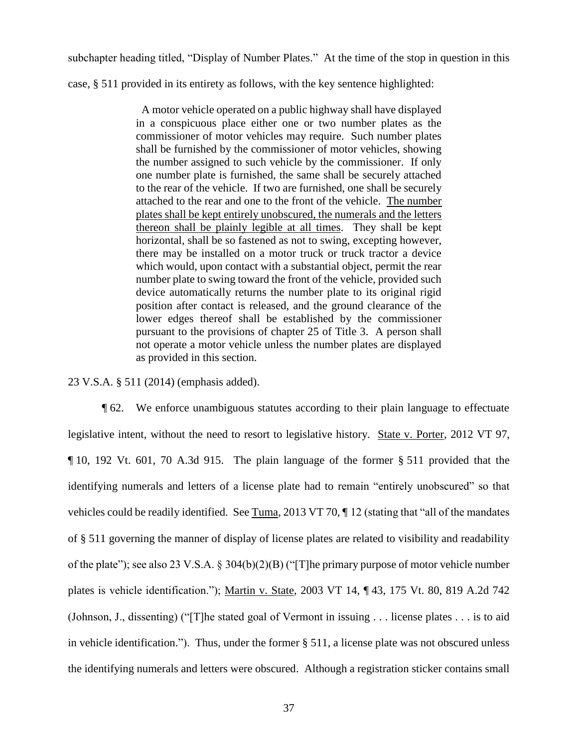subchapter heading titled, "Display of Number Plates." At the time of the stop in question in this

case, § 511 provided in its entirety as follows, with the key sentence highlighted:

 A motor vehicle operated on a public highway shall have displayed in a conspicuous place either one or two number plates as the commissioner of motor vehicles may require. Such number plates shall be furnished by the commissioner of motor vehicles, showing the number assigned to such vehicle by the commissioner. If only one number plate is furnished, the same shall be securely attached to the rear of the vehicle. If two are furnished, one shall be securely attached to the rear and one to the front of the vehicle. The number plates shall be kept entirely unobscured, the numerals and the letters thereon shall be plainly legible at all times. They shall be kept horizontal, shall be so fastened as not to swing, excepting however, there may be installed on a motor truck or truck tractor a device which would, upon contact with a substantial object, permit the rear number plate to swing toward the front of the vehicle, provided such device automatically returns the number plate to its original rigid position after contact is released, and the ground clearance of the lower edges thereof shall be established by the commissioner pursuant to the provisions of chapter 25 of Title 3. A person shall not operate a motor vehicle unless the number plates are displayed as provided in this section.

23 V.S.A. § 511 (2014) (emphasis added).

¶ 62. We enforce unambiguous statutes according to their plain language to effectuate legislative intent, without the need to resort to legislative history. State v. Porter, 2012 VT 97, ¶ 10, 192 Vt. 601, 70 A.3d 915. The plain language of the former § 511 provided that the identifying numerals and letters of a license plate had to remain "entirely unobscured" so that vehicles could be readily identified. See Tuma, 2013 VT 70,  $\P$  12 (stating that "all of the mandates of § 511 governing the manner of display of license plates are related to visibility and readability of the plate"); see also 23 V.S.A. § 304(b)(2)(B) ("[T]he primary purpose of motor vehicle number plates is vehicle identification."); Martin v. State, 2003 VT 14, ¶ 43, 175 Vt. 80, 819 A.2d 742 (Johnson, J., dissenting) ("[T]he stated goal of Vermont in issuing . . . license plates . . . is to aid in vehicle identification."). Thus, under the former § 511, a license plate was not obscured unless the identifying numerals and letters were obscured. Although a registration sticker contains small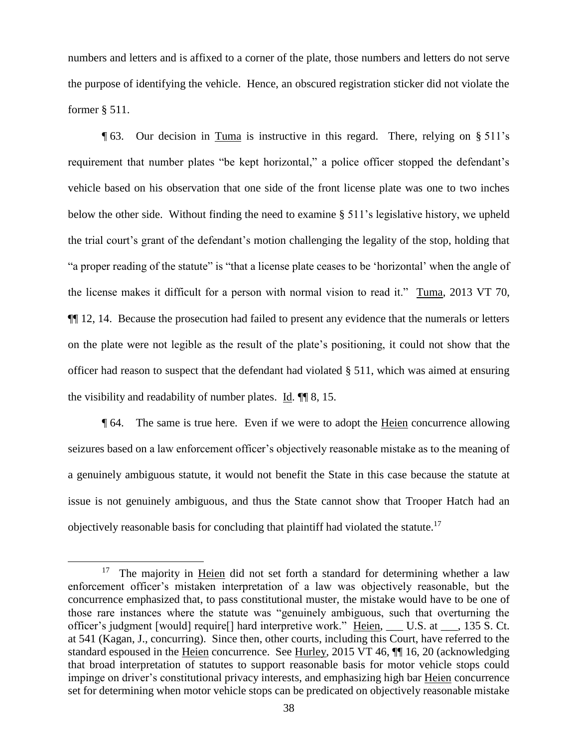numbers and letters and is affixed to a corner of the plate, those numbers and letters do not serve the purpose of identifying the vehicle. Hence, an obscured registration sticker did not violate the former § 511.

¶ 63. Our decision in Tuma is instructive in this regard. There, relying on § 511's requirement that number plates "be kept horizontal," a police officer stopped the defendant's vehicle based on his observation that one side of the front license plate was one to two inches below the other side. Without finding the need to examine § 511's legislative history, we upheld the trial court's grant of the defendant's motion challenging the legality of the stop, holding that "a proper reading of the statute" is "that a license plate ceases to be 'horizontal' when the angle of the license makes it difficult for a person with normal vision to read it." Tuma, 2013 VT 70, ¶¶ 12, 14. Because the prosecution had failed to present any evidence that the numerals or letters on the plate were not legible as the result of the plate's positioning, it could not show that the officer had reason to suspect that the defendant had violated § 511, which was aimed at ensuring the visibility and readability of number plates. Id. ¶¶ 8, 15.

¶ 64. The same is true here. Even if we were to adopt the Heien concurrence allowing seizures based on a law enforcement officer's objectively reasonable mistake as to the meaning of a genuinely ambiguous statute, it would not benefit the State in this case because the statute at issue is not genuinely ambiguous, and thus the State cannot show that Trooper Hatch had an objectively reasonable basis for concluding that plaintiff had violated the statute.<sup>17</sup>

<sup>&</sup>lt;sup>17</sup> The majority in Heien did not set forth a standard for determining whether a law enforcement officer's mistaken interpretation of a law was objectively reasonable, but the concurrence emphasized that, to pass constitutional muster, the mistake would have to be one of those rare instances where the statute was "genuinely ambiguous, such that overturning the officer's judgment [would] require[] hard interpretive work." Heien, \_\_\_ U.S. at \_\_\_, 135 S. Ct. at 541 (Kagan, J., concurring). Since then, other courts, including this Court, have referred to the standard espoused in the Heien concurrence. See Hurley, 2015 VT 46, ¶¶ 16, 20 (acknowledging that broad interpretation of statutes to support reasonable basis for motor vehicle stops could impinge on driver's constitutional privacy interests, and emphasizing high bar Heien concurrence set for determining when motor vehicle stops can be predicated on objectively reasonable mistake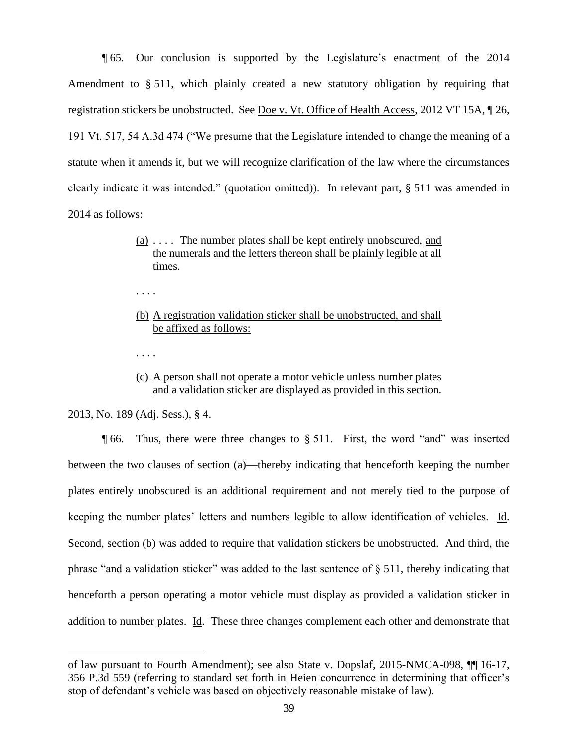¶ 65. Our conclusion is supported by the Legislature's enactment of the 2014 Amendment to § 511, which plainly created a new statutory obligation by requiring that registration stickers be unobstructed. See Doe v. Vt. Office of Health Access, 2012 VT 15A, ¶ 26, 191 Vt. 517, 54 A.3d 474 ("We presume that the Legislature intended to change the meaning of a statute when it amends it, but we will recognize clarification of the law where the circumstances clearly indicate it was intended." (quotation omitted)). In relevant part, § 511 was amended in 2014 as follows:

- $(a)$ .... The number plates shall be kept entirely unobscured, and the numerals and the letters thereon shall be plainly legible at all times.
- . . . .
- (b) A registration validation sticker shall be unobstructed, and shall be affixed as follows:
- . . . .
- (c) A person shall not operate a motor vehicle unless number plates and a validation sticker are displayed as provided in this section.

2013, No. 189 (Adj. Sess.), § 4.

 $\overline{a}$ 

¶ 66. Thus, there were three changes to § 511. First, the word "and" was inserted between the two clauses of section (a)—thereby indicating that henceforth keeping the number plates entirely unobscured is an additional requirement and not merely tied to the purpose of keeping the number plates' letters and numbers legible to allow identification of vehicles. Id. Second, section (b) was added to require that validation stickers be unobstructed. And third, the phrase "and a validation sticker" was added to the last sentence of § 511, thereby indicating that henceforth a person operating a motor vehicle must display as provided a validation sticker in addition to number plates. Id. These three changes complement each other and demonstrate that

of law pursuant to Fourth Amendment); see also State v. Dopslaf, 2015-NMCA-098, ¶¶ 16-17, 356 P.3d 559 (referring to standard set forth in Heien concurrence in determining that officer's stop of defendant's vehicle was based on objectively reasonable mistake of law).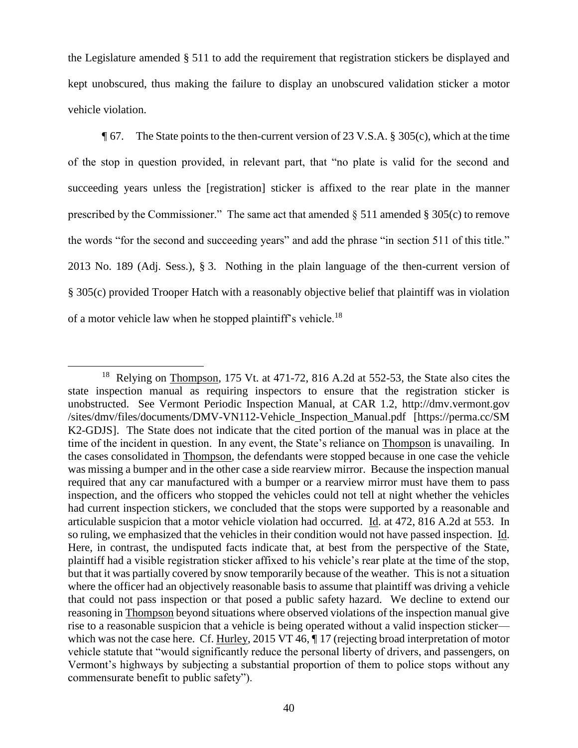the Legislature amended § 511 to add the requirement that registration stickers be displayed and kept unobscured, thus making the failure to display an unobscured validation sticker a motor vehicle violation.

 $\degree$  **67.** The State points to the then-current version of 23 V.S.A. § 305(c), which at the time of the stop in question provided, in relevant part, that "no plate is valid for the second and succeeding years unless the [registration] sticker is affixed to the rear plate in the manner prescribed by the Commissioner." The same act that amended  $\S$  511 amended  $\S$  305(c) to remove the words "for the second and succeeding years" and add the phrase "in section 511 of this title." 2013 No. 189 (Adj. Sess.), § 3. Nothing in the plain language of the then-current version of § 305(c) provided Trooper Hatch with a reasonably objective belief that plaintiff was in violation of a motor vehicle law when he stopped plaintiff's vehicle.<sup>18</sup>

<sup>&</sup>lt;sup>18</sup> Relying on **Thompson**, 175 Vt. at 471-72, 816 A.2d at 552-53, the State also cites the state inspection manual as requiring inspectors to ensure that the registration sticker is unobstructed. See Vermont Periodic Inspection Manual, at CAR 1.2, http://dmv.vermont.gov /sites/dmv/files/documents/DMV-VN112-Vehicle\_Inspection\_Manual.pdf [https://perma.cc/SM K2-GDJS]. The State does not indicate that the cited portion of the manual was in place at the time of the incident in question. In any event, the State's reliance on Thompson is unavailing. In the cases consolidated in Thompson, the defendants were stopped because in one case the vehicle was missing a bumper and in the other case a side rearview mirror. Because the inspection manual required that any car manufactured with a bumper or a rearview mirror must have them to pass inspection, and the officers who stopped the vehicles could not tell at night whether the vehicles had current inspection stickers, we concluded that the stops were supported by a reasonable and articulable suspicion that a motor vehicle violation had occurred. Id. at 472, 816 A.2d at 553. In so ruling, we emphasized that the vehicles in their condition would not have passed inspection. Id. Here, in contrast, the undisputed facts indicate that, at best from the perspective of the State, plaintiff had a visible registration sticker affixed to his vehicle's rear plate at the time of the stop, but that it was partially covered by snow temporarily because of the weather. This is not a situation where the officer had an objectively reasonable basis to assume that plaintiff was driving a vehicle that could not pass inspection or that posed a public safety hazard. We decline to extend our reasoning in Thompson beyond situations where observed violations of the inspection manual give rise to a reasonable suspicion that a vehicle is being operated without a valid inspection sticker which was not the case here. Cf. Hurley, 2015 VT 46,  $\P$  17 (rejecting broad interpretation of motor vehicle statute that "would significantly reduce the personal liberty of drivers, and passengers, on Vermont's highways by subjecting a substantial proportion of them to police stops without any commensurate benefit to public safety").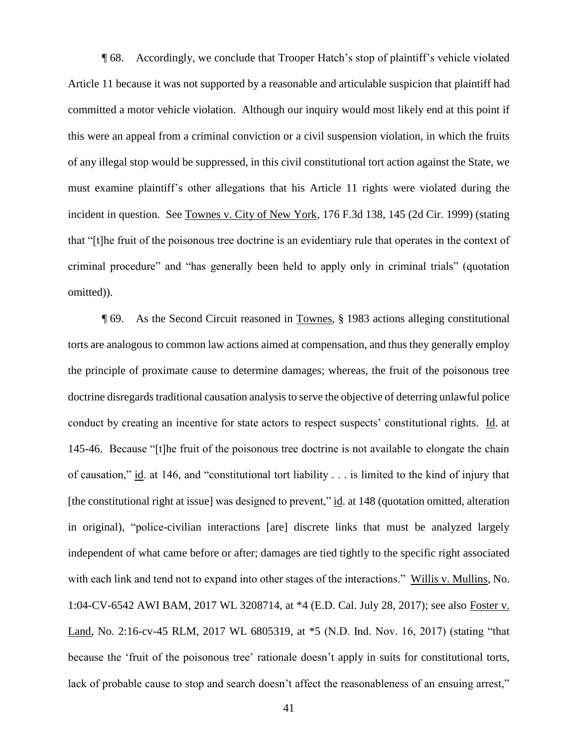¶ 68. Accordingly, we conclude that Trooper Hatch's stop of plaintiff's vehicle violated Article 11 because it was not supported by a reasonable and articulable suspicion that plaintiff had committed a motor vehicle violation. Although our inquiry would most likely end at this point if this were an appeal from a criminal conviction or a civil suspension violation, in which the fruits of any illegal stop would be suppressed, in this civil constitutional tort action against the State, we must examine plaintiff's other allegations that his Article 11 rights were violated during the incident in question. See Townes v. City of New York, 176 F.3d 138, 145 (2d Cir. 1999) (stating that "[t]he fruit of the poisonous tree doctrine is an evidentiary rule that operates in the context of criminal procedure" and "has generally been held to apply only in criminal trials" (quotation omitted)).

¶ 69. As the Second Circuit reasoned in Townes, § 1983 actions alleging constitutional torts are analogous to common law actions aimed at compensation, and thus they generally employ the principle of proximate cause to determine damages; whereas, the fruit of the poisonous tree doctrine disregards traditional causation analysis to serve the objective of deterring unlawful police conduct by creating an incentive for state actors to respect suspects' constitutional rights. Id. at 145-46. Because "[t]he fruit of the poisonous tree doctrine is not available to elongate the chain of causation," id. at 146, and "constitutional tort liability . . . is limited to the kind of injury that [the constitutional right at issue] was designed to prevent," id. at 148 (quotation omitted, alteration in original), "police-civilian interactions [are] discrete links that must be analyzed largely independent of what came before or after; damages are tied tightly to the specific right associated with each link and tend not to expand into other stages of the interactions." Willis v. Mullins, No. 1:04-CV-6542 AWI BAM, 2017 WL 3208714, at \*4 (E.D. Cal. July 28, 2017); see also Foster v. Land, No. 2:16-cv-45 RLM, 2017 WL 6805319, at \*5 (N.D. Ind. Nov. 16, 2017) (stating "that because the 'fruit of the poisonous tree' rationale doesn't apply in suits for constitutional torts, lack of probable cause to stop and search doesn't affect the reasonableness of an ensuing arrest,"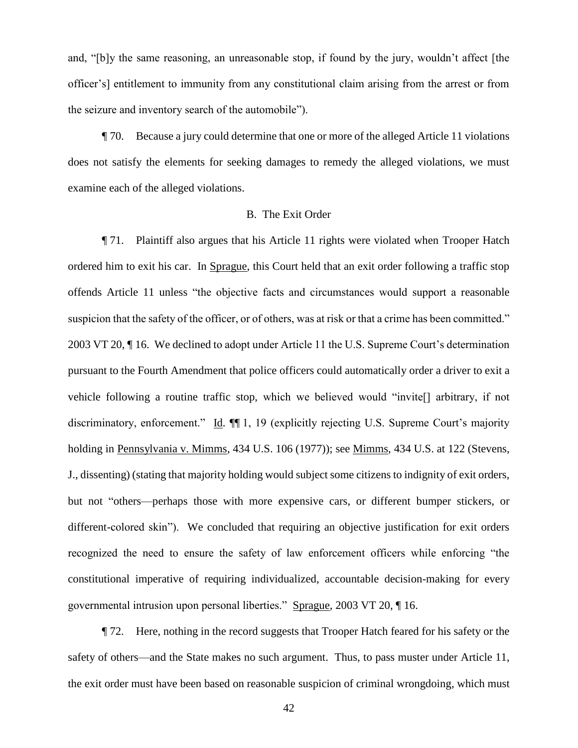and, "[b]y the same reasoning, an unreasonable stop, if found by the jury, wouldn't affect [the officer's] entitlement to immunity from any constitutional claim arising from the arrest or from the seizure and inventory search of the automobile").

¶ 70. Because a jury could determine that one or more of the alleged Article 11 violations does not satisfy the elements for seeking damages to remedy the alleged violations, we must examine each of the alleged violations.

#### B. The Exit Order

¶ 71. Plaintiff also argues that his Article 11 rights were violated when Trooper Hatch ordered him to exit his car. In Sprague, this Court held that an exit order following a traffic stop offends Article 11 unless "the objective facts and circumstances would support a reasonable suspicion that the safety of the officer, or of others, was at risk or that a crime has been committed." 2003 VT 20, ¶ 16. We declined to adopt under Article 11 the U.S. Supreme Court's determination pursuant to the Fourth Amendment that police officers could automatically order a driver to exit a vehicle following a routine traffic stop, which we believed would "invite[] arbitrary, if not discriminatory, enforcement." Id.  $\P$ 1, 19 (explicitly rejecting U.S. Supreme Court's majority holding in Pennsylvania v. Mimms, 434 U.S. 106 (1977)); see Mimms, 434 U.S. at 122 (Stevens, J., dissenting) (stating that majority holding would subject some citizens to indignity of exit orders, but not "others—perhaps those with more expensive cars, or different bumper stickers, or different-colored skin"). We concluded that requiring an objective justification for exit orders recognized the need to ensure the safety of law enforcement officers while enforcing "the constitutional imperative of requiring individualized, accountable decision-making for every governmental intrusion upon personal liberties." Sprague, 2003 VT 20, ¶ 16.

¶ 72. Here, nothing in the record suggests that Trooper Hatch feared for his safety or the safety of others—and the State makes no such argument. Thus, to pass muster under Article 11, the exit order must have been based on reasonable suspicion of criminal wrongdoing, which must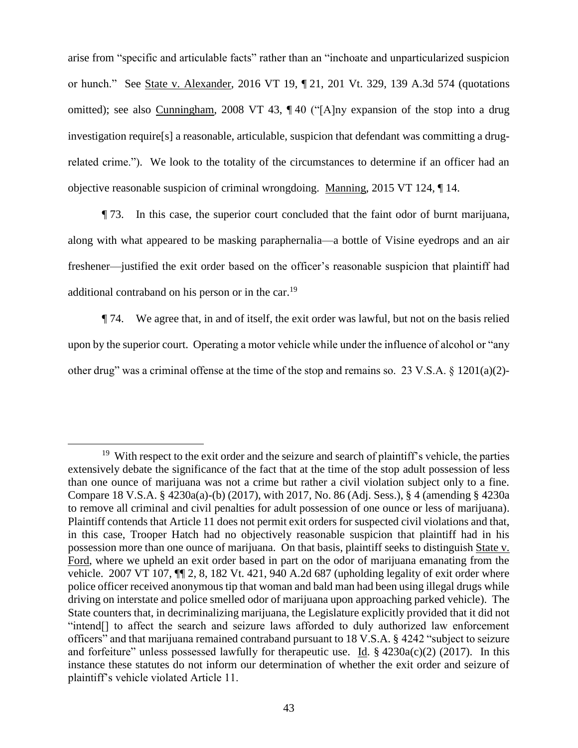arise from "specific and articulable facts" rather than an "inchoate and unparticularized suspicion or hunch." See State v. Alexander, 2016 VT 19, ¶ 21, 201 Vt. 329, 139 A.3d 574 (quotations omitted); see also Cunningham, 2008 VT 43, ¶ 40 ("[A]ny expansion of the stop into a drug investigation require[s] a reasonable, articulable, suspicion that defendant was committing a drugrelated crime."). We look to the totality of the circumstances to determine if an officer had an objective reasonable suspicion of criminal wrongdoing. Manning, 2015 VT 124, ¶ 14.

¶ 73. In this case, the superior court concluded that the faint odor of burnt marijuana, along with what appeared to be masking paraphernalia—a bottle of Visine eyedrops and an air freshener—justified the exit order based on the officer's reasonable suspicion that plaintiff had additional contraband on his person or in the car.<sup>19</sup>

¶ 74. We agree that, in and of itself, the exit order was lawful, but not on the basis relied upon by the superior court. Operating a motor vehicle while under the influence of alcohol or "any other drug" was a criminal offense at the time of the stop and remains so. 23 V.S.A.  $\S$  1201(a)(2)-

 $\overline{a}$ <sup>19</sup> With respect to the exit order and the seizure and search of plaintiff's vehicle, the parties extensively debate the significance of the fact that at the time of the stop adult possession of less than one ounce of marijuana was not a crime but rather a civil violation subject only to a fine. Compare 18 V.S.A. § 4230a(a)-(b) (2017), with 2017, No. 86 (Adj. Sess.), § 4 (amending § 4230a to remove all criminal and civil penalties for adult possession of one ounce or less of marijuana). Plaintiff contends that Article 11 does not permit exit orders for suspected civil violations and that, in this case, Trooper Hatch had no objectively reasonable suspicion that plaintiff had in his possession more than one ounce of marijuana. On that basis, plaintiff seeks to distinguish State v. Ford, where we upheld an exit order based in part on the odor of marijuana emanating from the vehicle. 2007 VT 107, ¶¶ 2, 8, 182 Vt. 421, 940 A.2d 687 (upholding legality of exit order where police officer received anonymous tip that woman and bald man had been using illegal drugs while driving on interstate and police smelled odor of marijuana upon approaching parked vehicle). The State counters that, in decriminalizing marijuana, the Legislature explicitly provided that it did not "intend[] to affect the search and seizure laws afforded to duly authorized law enforcement officers" and that marijuana remained contraband pursuant to 18 V.S.A. § 4242 "subject to seizure and forfeiture" unless possessed lawfully for the rapeutic use. Id.  $\S$  4230a(c)(2) (2017). In this instance these statutes do not inform our determination of whether the exit order and seizure of plaintiff's vehicle violated Article 11.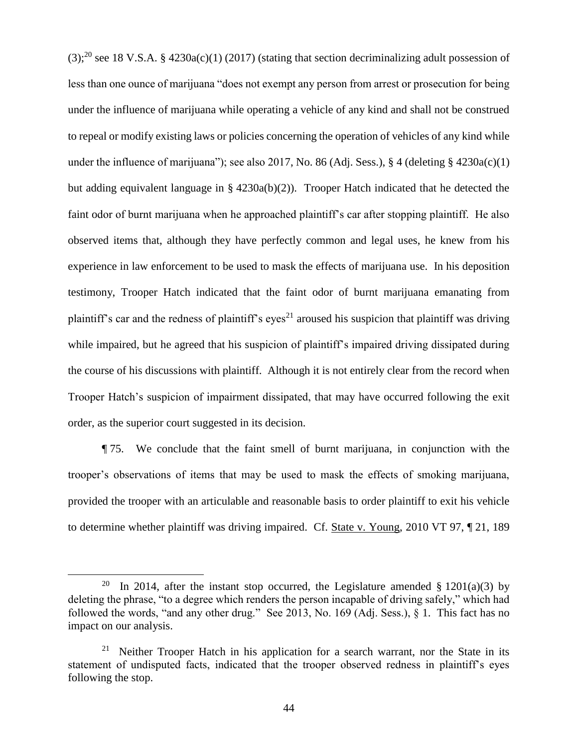$(3)$ ;<sup>20</sup> see 18 V.S.A. § 4230a(c)(1) (2017) (stating that section decriminalizing adult possession of less than one ounce of marijuana "does not exempt any person from arrest or prosecution for being under the influence of marijuana while operating a vehicle of any kind and shall not be construed to repeal or modify existing laws or policies concerning the operation of vehicles of any kind while under the influence of marijuana"); see also 2017, No. 86 (Adj. Sess.), § 4 (deleting § 4230a(c)(1) but adding equivalent language in § 4230a(b)(2)). Trooper Hatch indicated that he detected the faint odor of burnt marijuana when he approached plaintiff's car after stopping plaintiff. He also observed items that, although they have perfectly common and legal uses, he knew from his experience in law enforcement to be used to mask the effects of marijuana use. In his deposition testimony, Trooper Hatch indicated that the faint odor of burnt marijuana emanating from plaintiff's car and the redness of plaintiff's eyes<sup>21</sup> aroused his suspicion that plaintiff was driving while impaired, but he agreed that his suspicion of plaintiff's impaired driving dissipated during the course of his discussions with plaintiff. Although it is not entirely clear from the record when Trooper Hatch's suspicion of impairment dissipated, that may have occurred following the exit order, as the superior court suggested in its decision.

¶ 75. We conclude that the faint smell of burnt marijuana, in conjunction with the trooper's observations of items that may be used to mask the effects of smoking marijuana, provided the trooper with an articulable and reasonable basis to order plaintiff to exit his vehicle to determine whether plaintiff was driving impaired. Cf. State v. Young, 2010 VT 97, ¶ 21, 189

<sup>20</sup> In 2014, after the instant stop occurred, the Legislature amended  $\S 1201(a)(3)$  by deleting the phrase, "to a degree which renders the person incapable of driving safely," which had followed the words, "and any other drug." See 2013, No. 169 (Adj. Sess.), § 1. This fact has no impact on our analysis.

<sup>&</sup>lt;sup>21</sup> Neither Trooper Hatch in his application for a search warrant, nor the State in its statement of undisputed facts, indicated that the trooper observed redness in plaintiff's eyes following the stop.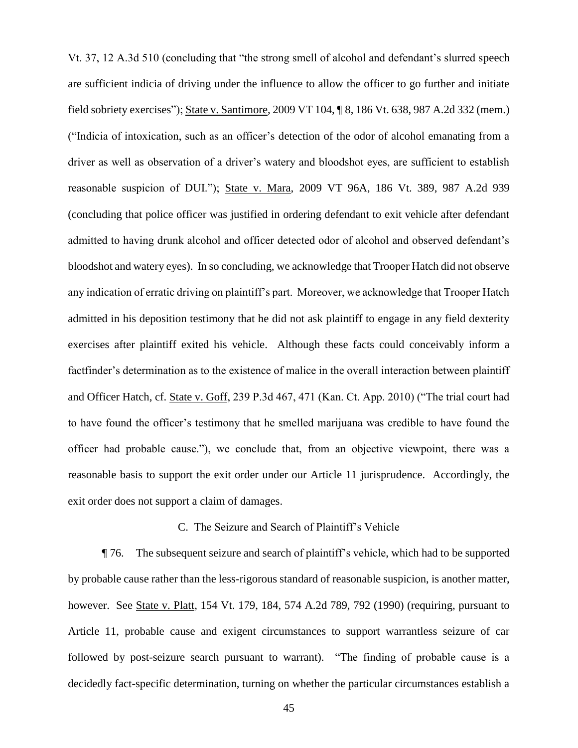Vt. 37, 12 A.3d 510 (concluding that "the strong smell of alcohol and defendant's slurred speech are sufficient indicia of driving under the influence to allow the officer to go further and initiate field sobriety exercises"); State v. Santimore, 2009 VT 104, ¶ 8, 186 Vt. 638, 987 A.2d 332 (mem.) ("Indicia of intoxication, such as an officer's detection of the odor of alcohol emanating from a driver as well as observation of a driver's watery and bloodshot eyes, are sufficient to establish reasonable suspicion of DUI."); State v. Mara, 2009 VT 96A, 186 Vt. 389, 987 A.2d 939 (concluding that police officer was justified in ordering defendant to exit vehicle after defendant admitted to having drunk alcohol and officer detected odor of alcohol and observed defendant's bloodshot and watery eyes). In so concluding, we acknowledge that Trooper Hatch did not observe any indication of erratic driving on plaintiff's part. Moreover, we acknowledge that Trooper Hatch admitted in his deposition testimony that he did not ask plaintiff to engage in any field dexterity exercises after plaintiff exited his vehicle. Although these facts could conceivably inform a factfinder's determination as to the existence of malice in the overall interaction between plaintiff and Officer Hatch, cf. State v. Goff, 239 P.3d 467, 471 (Kan. Ct. App. 2010) ("The trial court had to have found the officer's testimony that he smelled marijuana was credible to have found the officer had probable cause."), we conclude that, from an objective viewpoint, there was a reasonable basis to support the exit order under our Article 11 jurisprudence. Accordingly, the exit order does not support a claim of damages.

### C. The Seizure and Search of Plaintiff's Vehicle

¶ 76. The subsequent seizure and search of plaintiff's vehicle, which had to be supported by probable cause rather than the less-rigorous standard of reasonable suspicion, is another matter, however. See State v. Platt, 154 Vt. 179, 184, 574 A.2d 789, 792 (1990) (requiring, pursuant to Article 11, probable cause and exigent circumstances to support warrantless seizure of car followed by post-seizure search pursuant to warrant). "The finding of probable cause is a decidedly fact-specific determination, turning on whether the particular circumstances establish a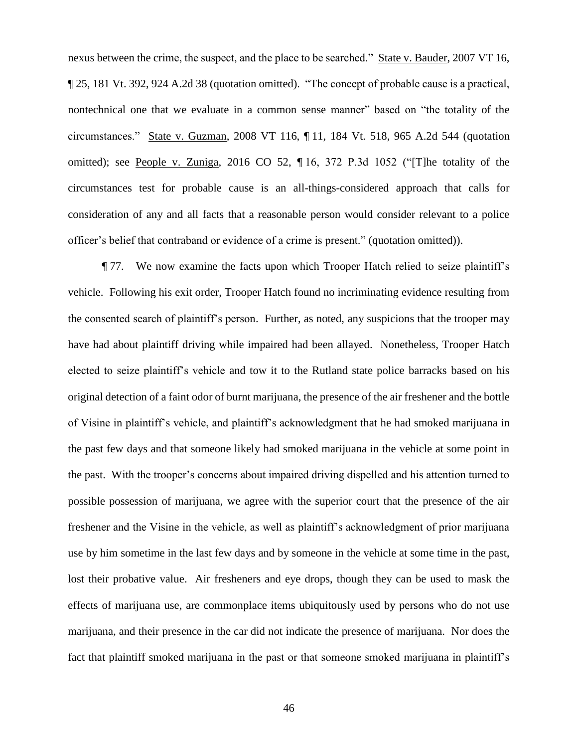nexus between the crime, the suspect, and the place to be searched." State v. Bauder, 2007 VT 16, ¶ 25, 181 Vt. 392, 924 A.2d 38 (quotation omitted). "The concept of probable cause is a practical, nontechnical one that we evaluate in a common sense manner" based on "the totality of the circumstances." State v. Guzman, 2008 VT 116, ¶ 11, 184 Vt. 518, 965 A.2d 544 (quotation omitted); see People v. Zuniga, 2016 CO 52, ¶ 16, 372 P.3d 1052 ("[T]he totality of the circumstances test for probable cause is an all-things-considered approach that calls for consideration of any and all facts that a reasonable person would consider relevant to a police officer's belief that contraband or evidence of a crime is present." (quotation omitted)).

¶ 77. We now examine the facts upon which Trooper Hatch relied to seize plaintiff's vehicle. Following his exit order, Trooper Hatch found no incriminating evidence resulting from the consented search of plaintiff's person. Further, as noted, any suspicions that the trooper may have had about plaintiff driving while impaired had been allayed. Nonetheless, Trooper Hatch elected to seize plaintiff's vehicle and tow it to the Rutland state police barracks based on his original detection of a faint odor of burnt marijuana, the presence of the air freshener and the bottle of Visine in plaintiff's vehicle, and plaintiff's acknowledgment that he had smoked marijuana in the past few days and that someone likely had smoked marijuana in the vehicle at some point in the past. With the trooper's concerns about impaired driving dispelled and his attention turned to possible possession of marijuana, we agree with the superior court that the presence of the air freshener and the Visine in the vehicle, as well as plaintiff's acknowledgment of prior marijuana use by him sometime in the last few days and by someone in the vehicle at some time in the past, lost their probative value. Air fresheners and eye drops, though they can be used to mask the effects of marijuana use, are commonplace items ubiquitously used by persons who do not use marijuana, and their presence in the car did not indicate the presence of marijuana. Nor does the fact that plaintiff smoked marijuana in the past or that someone smoked marijuana in plaintiff's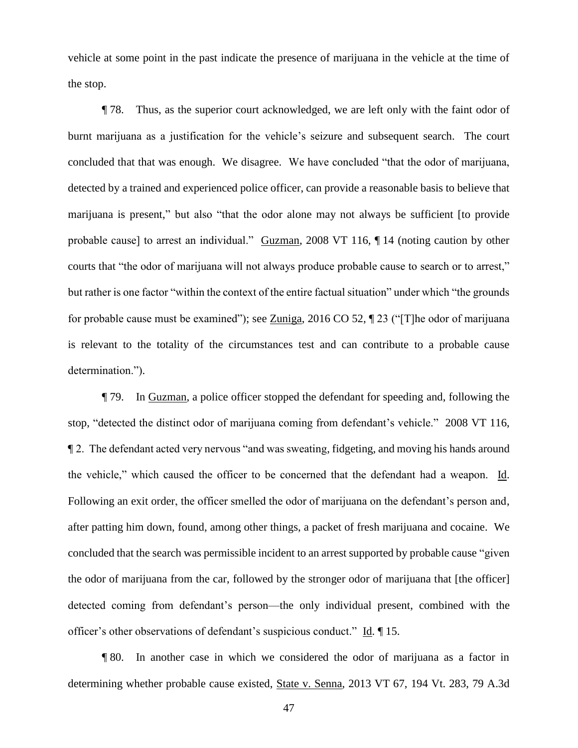vehicle at some point in the past indicate the presence of marijuana in the vehicle at the time of the stop.

¶ 78. Thus, as the superior court acknowledged, we are left only with the faint odor of burnt marijuana as a justification for the vehicle's seizure and subsequent search. The court concluded that that was enough. We disagree. We have concluded "that the odor of marijuana, detected by a trained and experienced police officer, can provide a reasonable basis to believe that marijuana is present," but also "that the odor alone may not always be sufficient [to provide probable cause] to arrest an individual." Guzman, 2008 VT 116, ¶ 14 (noting caution by other courts that "the odor of marijuana will not always produce probable cause to search or to arrest," but rather is one factor "within the context of the entire factual situation" under which "the grounds for probable cause must be examined"); see Zuniga, 2016 CO 52, ¶ 23 ("[T]he odor of marijuana is relevant to the totality of the circumstances test and can contribute to a probable cause determination.").

¶ 79. In Guzman, a police officer stopped the defendant for speeding and, following the stop, "detected the distinct odor of marijuana coming from defendant's vehicle." 2008 VT 116, ¶ 2. The defendant acted very nervous "and was sweating, fidgeting, and moving his hands around the vehicle," which caused the officer to be concerned that the defendant had a weapon. Id. Following an exit order, the officer smelled the odor of marijuana on the defendant's person and, after patting him down, found, among other things, a packet of fresh marijuana and cocaine. We concluded that the search was permissible incident to an arrest supported by probable cause "given the odor of marijuana from the car, followed by the stronger odor of marijuana that [the officer] detected coming from defendant's person—the only individual present, combined with the officer's other observations of defendant's suspicious conduct." Id. ¶ 15.

¶ 80. In another case in which we considered the odor of marijuana as a factor in determining whether probable cause existed, State v. Senna, 2013 VT 67, 194 Vt. 283, 79 A.3d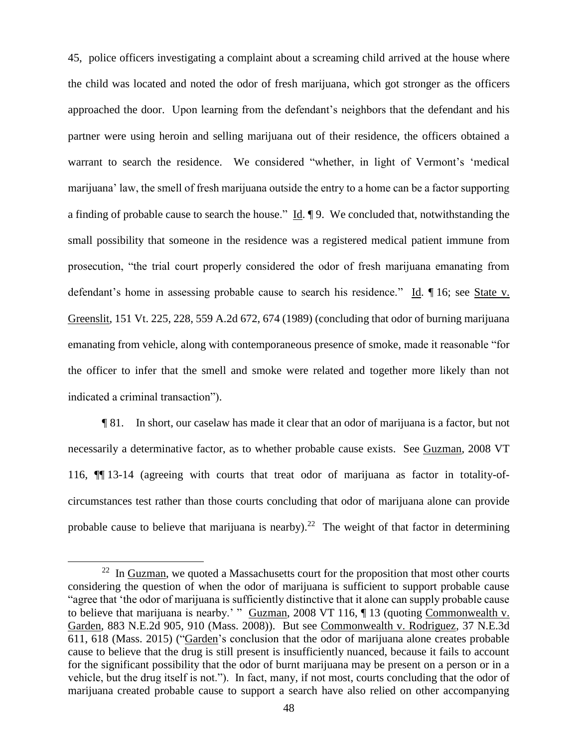45, police officers investigating a complaint about a screaming child arrived at the house where the child was located and noted the odor of fresh marijuana, which got stronger as the officers approached the door. Upon learning from the defendant's neighbors that the defendant and his partner were using heroin and selling marijuana out of their residence, the officers obtained a warrant to search the residence. We considered "whether, in light of Vermont's 'medical marijuana' law, the smell of fresh marijuana outside the entry to a home can be a factor supporting a finding of probable cause to search the house." Id. ¶ 9. We concluded that, notwithstanding the small possibility that someone in the residence was a registered medical patient immune from prosecution, "the trial court properly considered the odor of fresh marijuana emanating from defendant's home in assessing probable cause to search his residence." Id. ¶ 16; see State v. Greenslit, 151 Vt. 225, 228, 559 A.2d 672, 674 (1989) (concluding that odor of burning marijuana emanating from vehicle, along with contemporaneous presence of smoke, made it reasonable "for the officer to infer that the smell and smoke were related and together more likely than not indicated a criminal transaction").

¶ 81. In short, our caselaw has made it clear that an odor of marijuana is a factor, but not necessarily a determinative factor, as to whether probable cause exists. See Guzman, 2008 VT 116, ¶¶ 13-14 (agreeing with courts that treat odor of marijuana as factor in totality-ofcircumstances test rather than those courts concluding that odor of marijuana alone can provide probable cause to believe that marijuana is nearby).<sup>22</sup> The weight of that factor in determining

 $22$  In Guzman, we quoted a Massachusetts court for the proposition that most other courts considering the question of when the odor of marijuana is sufficient to support probable cause "agree that 'the odor of marijuana is sufficiently distinctive that it alone can supply probable cause to believe that marijuana is nearby.' " Guzman, 2008 VT 116, ¶ 13 (quoting Commonwealth v. Garden, 883 N.E.2d 905, 910 (Mass. 2008)). But see Commonwealth v. Rodriguez, 37 N.E.3d 611, 618 (Mass. 2015) ("Garden's conclusion that the odor of marijuana alone creates probable cause to believe that the drug is still present is insufficiently nuanced, because it fails to account for the significant possibility that the odor of burnt marijuana may be present on a person or in a vehicle, but the drug itself is not."). In fact, many, if not most, courts concluding that the odor of marijuana created probable cause to support a search have also relied on other accompanying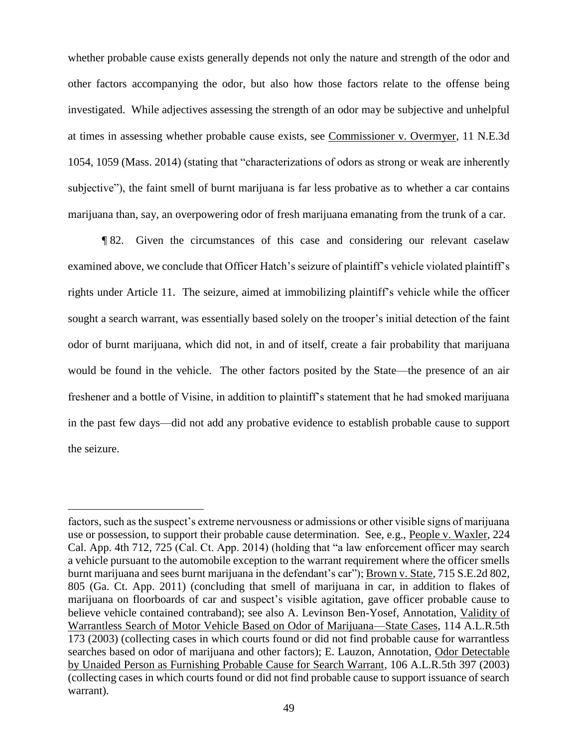whether probable cause exists generally depends not only the nature and strength of the odor and other factors accompanying the odor, but also how those factors relate to the offense being investigated. While adjectives assessing the strength of an odor may be subjective and unhelpful at times in assessing whether probable cause exists, see Commissioner v. Overmyer, 11 N.E.3d 1054, 1059 (Mass. 2014) (stating that "characterizations of odors as strong or weak are inherently subjective"), the faint smell of burnt marijuana is far less probative as to whether a car contains marijuana than, say, an overpowering odor of fresh marijuana emanating from the trunk of a car.

¶ 82. Given the circumstances of this case and considering our relevant caselaw examined above, we conclude that Officer Hatch's seizure of plaintiff's vehicle violated plaintiff's rights under Article 11. The seizure, aimed at immobilizing plaintiff's vehicle while the officer sought a search warrant, was essentially based solely on the trooper's initial detection of the faint odor of burnt marijuana, which did not, in and of itself, create a fair probability that marijuana would be found in the vehicle. The other factors posited by the State—the presence of an air freshener and a bottle of Visine, in addition to plaintiff's statement that he had smoked marijuana in the past few days—did not add any probative evidence to establish probable cause to support the seizure.

factors, such as the suspect's extreme nervousness or admissions or other visible signs of marijuana use or possession, to support their probable cause determination. See, e.g., People v. Waxler, 224 Cal. App. 4th 712, 725 (Cal. Ct. App. 2014) (holding that "a law enforcement officer may search a vehicle pursuant to the automobile exception to the warrant requirement where the officer smells burnt marijuana and sees burnt marijuana in the defendant's car"); Brown v. State, 715 S.E.2d 802, 805 (Ga. Ct. App. 2011) (concluding that smell of marijuana in car, in addition to flakes of marijuana on floorboards of car and suspect's visible agitation, gave officer probable cause to believe vehicle contained contraband); see also A. Levinson Ben-Yosef, Annotation, Validity of Warrantless Search of Motor Vehicle Based on Odor of Marijuana—State Cases, 114 A.L.R.5th 173 (2003) (collecting cases in which courts found or did not find probable cause for warrantless searches based on odor of marijuana and other factors); E. Lauzon, Annotation, Odor Detectable by Unaided Person as Furnishing Probable Cause for Search Warrant, 106 A.L.R.5th 397 (2003) (collecting cases in which courts found or did not find probable cause to support issuance of search warrant).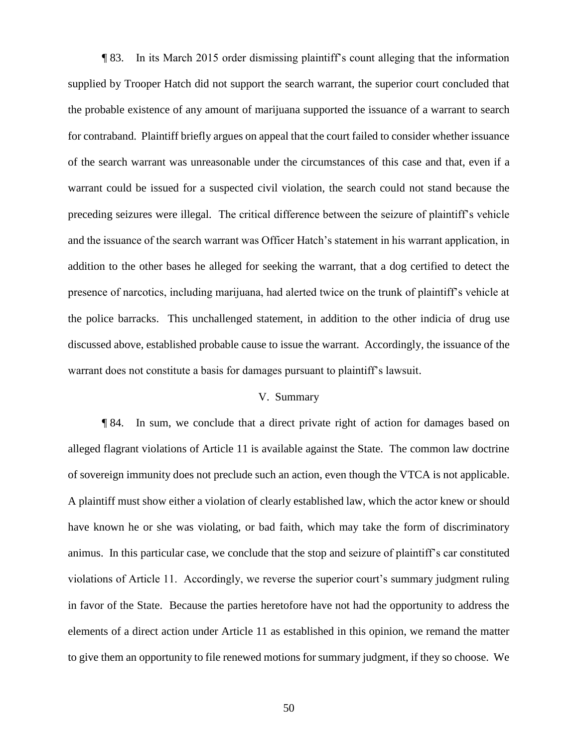¶ 83. In its March 2015 order dismissing plaintiff's count alleging that the information supplied by Trooper Hatch did not support the search warrant, the superior court concluded that the probable existence of any amount of marijuana supported the issuance of a warrant to search for contraband. Plaintiff briefly argues on appeal that the court failed to consider whether issuance of the search warrant was unreasonable under the circumstances of this case and that, even if a warrant could be issued for a suspected civil violation, the search could not stand because the preceding seizures were illegal. The critical difference between the seizure of plaintiff's vehicle and the issuance of the search warrant was Officer Hatch's statement in his warrant application, in addition to the other bases he alleged for seeking the warrant, that a dog certified to detect the presence of narcotics, including marijuana, had alerted twice on the trunk of plaintiff's vehicle at the police barracks. This unchallenged statement, in addition to the other indicia of drug use discussed above, established probable cause to issue the warrant. Accordingly, the issuance of the warrant does not constitute a basis for damages pursuant to plaintiff's lawsuit.

### V. Summary

¶ 84. In sum, we conclude that a direct private right of action for damages based on alleged flagrant violations of Article 11 is available against the State. The common law doctrine of sovereign immunity does not preclude such an action, even though the VTCA is not applicable. A plaintiff must show either a violation of clearly established law, which the actor knew or should have known he or she was violating, or bad faith, which may take the form of discriminatory animus. In this particular case, we conclude that the stop and seizure of plaintiff's car constituted violations of Article 11. Accordingly, we reverse the superior court's summary judgment ruling in favor of the State. Because the parties heretofore have not had the opportunity to address the elements of a direct action under Article 11 as established in this opinion, we remand the matter to give them an opportunity to file renewed motions for summary judgment, if they so choose. We